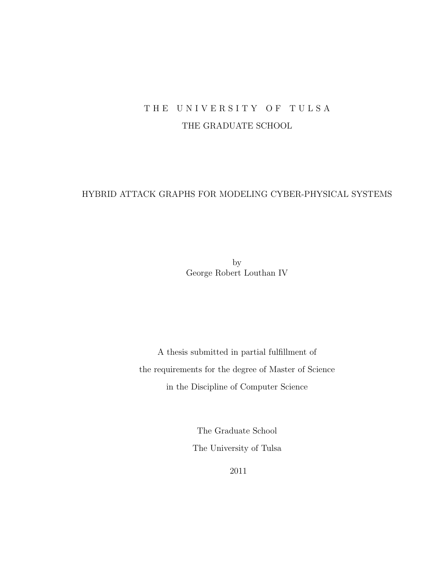# THE UNIVERSITY OF TULSA THE GRADUATE SCHOOL

# HYBRID ATTACK GRAPHS FOR MODELING CYBER-PHYSICAL SYSTEMS

by George Robert Louthan IV

A thesis submitted in partial fulfillment of the requirements for the degree of Master of Science in the Discipline of Computer Science

> The Graduate School The University of Tulsa

> > 2011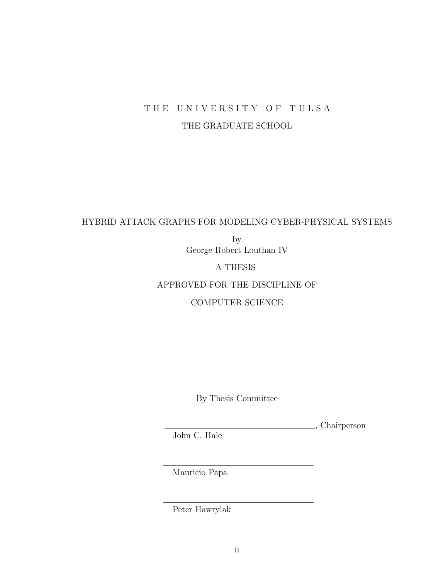# T H E U N I V E R S I T Y O F T U L S A THE GRADUATE SCHOOL

# HYBRID ATTACK GRAPHS FOR MODELING CYBER-PHYSICAL SYSTEMS

by George Robert Louthan IV

# A THESIS

# APPROVED FOR THE DISCIPLINE OF

# COMPUTER SCIENCE

By Thesis Committee

, Chairperson

John C. Hale

Mauricio Papa

Peter Hawrylak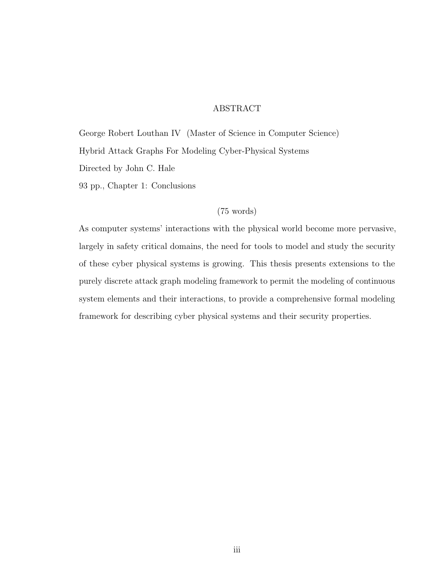# ABSTRACT

George Robert Louthan IV (Master of Science in Computer Science)

Hybrid Attack Graphs For Modeling Cyber-Physical Systems

Directed by John C. Hale

93 pp., Chapter 1: Conclusions

# (75 words)

As computer systems' interactions with the physical world become more pervasive, largely in safety critical domains, the need for tools to model and study the security of these cyber physical systems is growing. This thesis presents extensions to the purely discrete attack graph modeling framework to permit the modeling of continuous system elements and their interactions, to provide a comprehensive formal modeling framework for describing cyber physical systems and their security properties.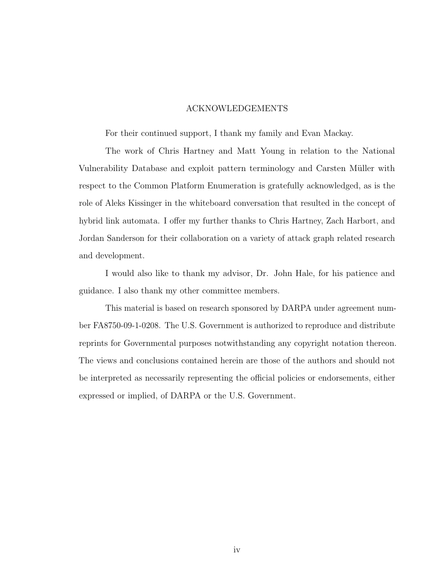### ACKNOWLEDGEMENTS

For their continued support, I thank my family and Evan Mackay.

The work of Chris Hartney and Matt Young in relation to the National Vulnerability Database and exploit pattern terminology and Carsten Müller with respect to the Common Platform Enumeration is gratefully acknowledged, as is the role of Aleks Kissinger in the whiteboard conversation that resulted in the concept of hybrid link automata. I offer my further thanks to Chris Hartney, Zach Harbort, and Jordan Sanderson for their collaboration on a variety of attack graph related research and development.

I would also like to thank my advisor, Dr. John Hale, for his patience and guidance. I also thank my other committee members.

This material is based on research sponsored by DARPA under agreement number FA8750-09-1-0208. The U.S. Government is authorized to reproduce and distribute reprints for Governmental purposes notwithstanding any copyright notation thereon. The views and conclusions contained herein are those of the authors and should not be interpreted as necessarily representing the official policies or endorsements, either expressed or implied, of DARPA or the U.S. Government.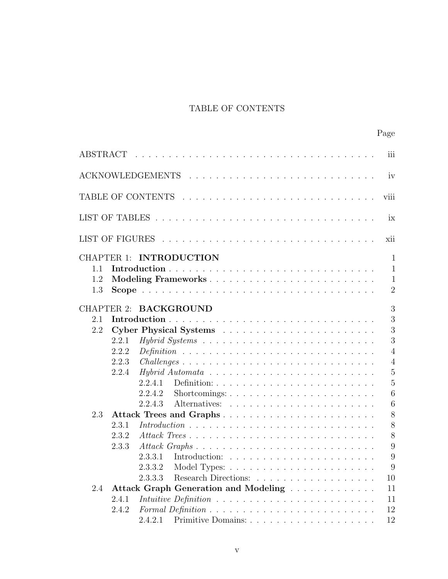# TABLE OF CONTENTS

| <b>ABSTRACT</b><br>iii                                                                                                |
|-----------------------------------------------------------------------------------------------------------------------|
| iv                                                                                                                    |
| TABLE OF CONTENTS<br>viii                                                                                             |
| ix                                                                                                                    |
| <b>LIST OF FIGURES</b><br>xii                                                                                         |
| <b>CHAPTER 1: INTRODUCTION</b><br>$\mathbf{1}$<br>$\mathbf{1}$<br>1.1<br>1.2<br>$\mathbf{1}$<br>$\overline{2}$<br>1.3 |
| 3<br><b>BACKGROUND</b><br><b>CHAPTER 2:</b>                                                                           |
| 3<br>2.1                                                                                                              |
| 3<br>2.2                                                                                                              |
| 3<br>2.2.1                                                                                                            |
| 2.2.2<br>$\overline{4}$<br>$Definition \dots \dots \dots \dots \dots \dots \dots \dots \dots \dots \dots \dots$       |
| 2.2.3<br>$Challenges \ldots \ldots \ldots \ldots \ldots \ldots \ldots \ldots \ldots \ldots$<br>$\overline{4}$         |
| $\overline{5}$<br>2.2.4                                                                                               |
| 5<br>2.2.4.1<br>$\boldsymbol{6}$<br>2.2.4.2                                                                           |
| Shortcomings: $\ldots$ $\ldots$ $\ldots$ $\ldots$ $\ldots$ $\ldots$ $\ldots$ $\ldots$ $\ldots$<br>2.2.4.3<br>6        |
| 8<br>2.3<br>Attack Trees and Graphs                                                                                   |
| 8<br>2.3.1<br>$Introduction \dots \dots \dots \dots \dots \dots \dots \dots \dots \dots \dots \dots \dots$            |
| 8<br>2.3.2                                                                                                            |
| 9<br>2.3.3                                                                                                            |
| 9<br>2.3.3.1                                                                                                          |
| 9<br>2.3.3.2                                                                                                          |
| 10<br>2.3.3.3                                                                                                         |
| Attack Graph Generation and Modeling<br>11<br>2.4                                                                     |
| 2.4.1<br>11                                                                                                           |
| 12<br>2.4.2                                                                                                           |
| 2.4.2.1<br>12                                                                                                         |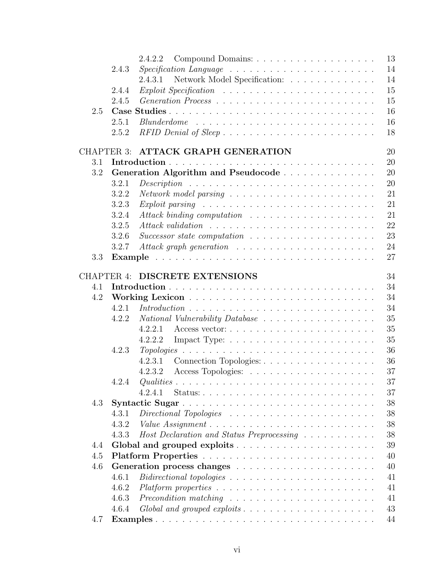|                   |       | 13<br>2.4.2.2                                                                                                     |  |  |
|-------------------|-------|-------------------------------------------------------------------------------------------------------------------|--|--|
|                   | 2.4.3 | 14                                                                                                                |  |  |
|                   |       | 14<br>Network Model Specification:<br>2.4.3.1                                                                     |  |  |
|                   | 2.4.4 | 15<br>$Exploit\; Specification \quad$                                                                             |  |  |
|                   | 2.4.5 | 15                                                                                                                |  |  |
| 2.5               |       | 16                                                                                                                |  |  |
|                   | 2.5.1 | 16                                                                                                                |  |  |
|                   | 2.5.2 | RFID Denial of Sleep<br>18                                                                                        |  |  |
|                   |       |                                                                                                                   |  |  |
| <b>CHAPTER 3:</b> |       | ATTACK GRAPH GENERATION<br>20                                                                                     |  |  |
| 3.1               |       | 20                                                                                                                |  |  |
| 3.2               |       | Generation Algorithm and Pseudocode<br>20                                                                         |  |  |
|                   | 3.2.1 | 20<br>$Description \dots \dots \dots \dots \dots \dots \dots \dots \dots \dots \dots \dots \dots$                 |  |  |
|                   | 3.2.2 | $Network \ model \ parsing \ \dots \ \dots \ \dots \ \dots \ \dots \ \dots \ \dots \ \dots \ \dots \ \dots$<br>21 |  |  |
|                   | 3.2.3 | 21                                                                                                                |  |  |
|                   | 3.2.4 | 21                                                                                                                |  |  |
|                   | 3.2.5 | 22                                                                                                                |  |  |
|                   | 3.2.6 | 23<br>Successor state computation $\ldots \ldots \ldots \ldots \ldots \ldots$                                     |  |  |
|                   | 3.2.7 | 24                                                                                                                |  |  |
| 3.3               |       | 27                                                                                                                |  |  |
|                   |       |                                                                                                                   |  |  |
|                   |       | CHAPTER 4: DISCRETE EXTENSIONS<br>34                                                                              |  |  |
| 4.1               |       | 34                                                                                                                |  |  |
| 4.2               |       | 34                                                                                                                |  |  |
|                   | 4.2.1 | 34<br>$Introduction \dots \dots \dots \dots \dots \dots \dots \dots \dots \dots \dots \dots \dots$                |  |  |
|                   | 4.2.2 | 35<br>National Vulnerability Database                                                                             |  |  |
|                   |       | 35<br>4.2.2.1                                                                                                     |  |  |
|                   |       | 35<br>4.2.2.2                                                                                                     |  |  |
|                   | 4.2.3 | 36                                                                                                                |  |  |
|                   |       | Connection Topologies:<br>36<br>4.2.3.1                                                                           |  |  |
|                   |       | 37<br>4.2.3.2                                                                                                     |  |  |
|                   |       | 37                                                                                                                |  |  |
|                   |       | 37<br>4.2.4.1                                                                                                     |  |  |
| 4.3               |       | Syntactic Sugar<br>38                                                                                             |  |  |
|                   | 4.3.1 | $Directional\ Topologies \dots \dots \dots \dots \dots \dots \dots \dots \dots \dots$<br>38                       |  |  |
|                   | 4.3.2 | Value Assignment<br>38                                                                                            |  |  |
|                   | 4.3.3 | 38<br>Host Declaration and Status Preprocessing                                                                   |  |  |
| 4.4               |       | 39                                                                                                                |  |  |
| 4.5               |       | 40                                                                                                                |  |  |
| 4.6               |       |                                                                                                                   |  |  |
|                   | 4.6.1 | 40<br>$Bidirectional\ topologies \ldots \ldots \ldots \ldots \ldots \ldots \ldots \ldots$<br>41                   |  |  |
| 4.6.2             |       | 41                                                                                                                |  |  |
| 4.6.3             |       | 41<br>$Precondition \text{ matching } \ldots \ldots \ldots \ldots \ldots \ldots \ldots \ldots$                    |  |  |
|                   |       |                                                                                                                   |  |  |
|                   | 4.6.4 | 43                                                                                                                |  |  |
| 4.7               |       | 44                                                                                                                |  |  |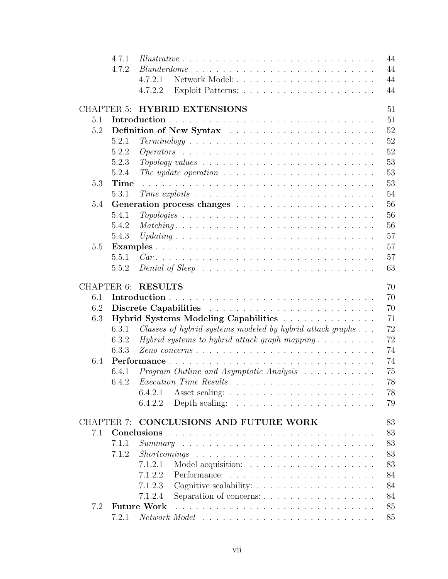|                    | 4.7.1                                       | 44<br>Illustrative                                                                              |  |  |  |  |
|--------------------|---------------------------------------------|-------------------------------------------------------------------------------------------------|--|--|--|--|
|                    | 4.7.2                                       | 44<br>Blunderdome                                                                               |  |  |  |  |
|                    |                                             | 44<br>4.7.2.1                                                                                   |  |  |  |  |
|                    |                                             | 44<br>4.7.2.2                                                                                   |  |  |  |  |
| CHAPTER 5:         |                                             | <b>HYBRID EXTENSIONS</b><br>51                                                                  |  |  |  |  |
| 5.1                |                                             | 51                                                                                              |  |  |  |  |
| 5.2                |                                             |                                                                                                 |  |  |  |  |
|                    | 5.2.1                                       | 52<br>$Terminology \ldots \ldots \ldots \ldots \ldots \ldots \ldots \ldots \ldots \ldots$       |  |  |  |  |
|                    | 5.2.2                                       | 52                                                                                              |  |  |  |  |
|                    | 5.2.3                                       | 53<br>Topology values $\ldots \ldots \ldots \ldots \ldots \ldots \ldots \ldots \ldots$          |  |  |  |  |
|                    | 5.2.4                                       | 53<br>The update operation $\ldots \ldots \ldots \ldots \ldots \ldots \ldots \ldots$            |  |  |  |  |
| 5.3                | Time                                        | 53                                                                                              |  |  |  |  |
|                    | 5.3.1                                       | 54<br>Time exploits $\ldots \ldots \ldots \ldots \ldots \ldots \ldots \ldots \ldots \ldots$     |  |  |  |  |
| 5.4                |                                             | 56                                                                                              |  |  |  |  |
|                    | 5.4.1                                       | 56<br>$Topologies \ldots \ldots \ldots \ldots \ldots \ldots \ldots \ldots \ldots \ldots \ldots$ |  |  |  |  |
|                    | 5.4.2                                       | 56                                                                                              |  |  |  |  |
|                    | 5.4.3                                       | 57                                                                                              |  |  |  |  |
| 5.5                |                                             | 57                                                                                              |  |  |  |  |
|                    | 5.5.1                                       | 57                                                                                              |  |  |  |  |
|                    | 5.5.2                                       | 63                                                                                              |  |  |  |  |
|                    |                                             |                                                                                                 |  |  |  |  |
| CHAPTER 6:         |                                             | 70<br><b>RESULTS</b>                                                                            |  |  |  |  |
| 6.1                |                                             | 70                                                                                              |  |  |  |  |
| 6.2                |                                             | 70<br>71                                                                                        |  |  |  |  |
|                    | Hybrid Systems Modeling Capabilities<br>6.3 |                                                                                                 |  |  |  |  |
|                    | 6.3.1                                       | 72<br>Classes of hybrid systems modeled by hybrid attack graphs                                 |  |  |  |  |
|                    | 6.3.2                                       | 72<br>Hybrid systems to hybrid attack graph mapping $\ldots \ldots \ldots$                      |  |  |  |  |
|                    | 6.3.3                                       | 74                                                                                              |  |  |  |  |
| 6.4                |                                             | 74<br>Performance                                                                               |  |  |  |  |
|                    | 6.4.1                                       | 75<br>Program Outline and Asymptotic Analysis                                                   |  |  |  |  |
|                    |                                             | 78<br>6.4.2 Execution Time Results                                                              |  |  |  |  |
|                    |                                             | 6.4.2.1<br>78                                                                                   |  |  |  |  |
|                    |                                             | 79<br>6.4.2.2<br>Depth scaling: $\dots \dots \dots \dots \dots \dots \dots \dots$               |  |  |  |  |
| <b>CHAPTER 7:</b>  |                                             | <b>CONCLUSIONS AND FUTURE WORK</b><br>83                                                        |  |  |  |  |
| Conclusions<br>7.1 |                                             |                                                                                                 |  |  |  |  |
|                    | 7.1.1                                       | 83<br>$Summary \dots \dots \dots \dots \dots \dots \dots \dots \dots \dots \dots \dots \dots$   |  |  |  |  |
|                    | 7.1.2                                       | 83                                                                                              |  |  |  |  |
|                    |                                             | 83<br>7.1.2.1                                                                                   |  |  |  |  |
|                    |                                             | 84<br>7.1.2.2                                                                                   |  |  |  |  |
|                    |                                             | 84<br>7.1.2.3                                                                                   |  |  |  |  |
|                    |                                             | 84<br>7.1.2.4<br>Separation of concerns: $\ldots$ $\ldots$ $\ldots$ $\ldots$ $\ldots$ $\ldots$  |  |  |  |  |
| 7.2                |                                             | <b>Future Work</b><br>85                                                                        |  |  |  |  |
|                    | 7.2.1                                       | 85                                                                                              |  |  |  |  |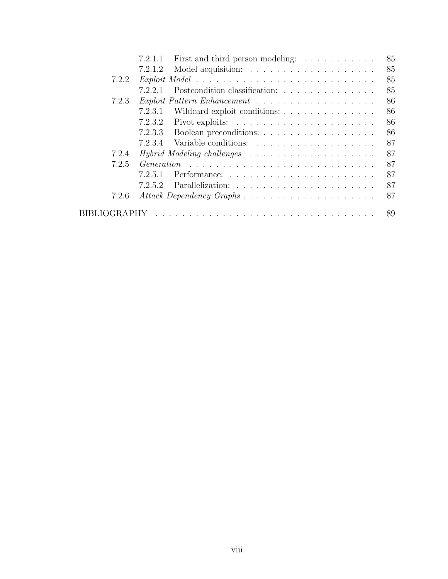|              | First and third person modeling:<br>7.2.1.1                                                                                                                                                                                                                                                                                                                                                                                                               | 85 |
|--------------|-----------------------------------------------------------------------------------------------------------------------------------------------------------------------------------------------------------------------------------------------------------------------------------------------------------------------------------------------------------------------------------------------------------------------------------------------------------|----|
|              | 7.2.1.2                                                                                                                                                                                                                                                                                                                                                                                                                                                   | 85 |
| 7.2.2        |                                                                                                                                                                                                                                                                                                                                                                                                                                                           | 85 |
|              | Postcondition classification:<br>7221                                                                                                                                                                                                                                                                                                                                                                                                                     | 85 |
| 7.2.3        |                                                                                                                                                                                                                                                                                                                                                                                                                                                           | 86 |
|              | 7.2.3.1<br>Wildcard exploit conditions:                                                                                                                                                                                                                                                                                                                                                                                                                   | 86 |
|              | 7.2.3.2<br>Pivot exploits: $\ldots \ldots \ldots \ldots \ldots \ldots$                                                                                                                                                                                                                                                                                                                                                                                    | 86 |
|              | 7.2.3.3<br>Boolean preconditions:                                                                                                                                                                                                                                                                                                                                                                                                                         | 86 |
|              | 7.2.3.4                                                                                                                                                                                                                                                                                                                                                                                                                                                   | 87 |
| 7.2.4        |                                                                                                                                                                                                                                                                                                                                                                                                                                                           | 87 |
| 7.2.5        |                                                                                                                                                                                                                                                                                                                                                                                                                                                           | 87 |
|              | 7.2.5.1                                                                                                                                                                                                                                                                                                                                                                                                                                                   | 87 |
|              | 7.2.5.2                                                                                                                                                                                                                                                                                                                                                                                                                                                   | 87 |
| 7.2.6        |                                                                                                                                                                                                                                                                                                                                                                                                                                                           | 87 |
| BIBLIOGRAPHY | $\mathcal{L}^{\mathcal{A}}(\mathcal{A}^{\mathcal{A}}(\mathcal{A}^{\mathcal{A}}(\mathcal{A}^{\mathcal{A}}(\mathcal{A}^{\mathcal{A}}(\mathcal{A}^{\mathcal{A}}(\mathcal{A}^{\mathcal{A}}(\mathcal{A}^{\mathcal{A}}(\mathcal{A}^{\mathcal{A}}(\mathcal{A}^{\mathcal{A}}(\mathcal{A}^{\mathcal{A}}(\mathcal{A}^{\mathcal{A}}(\mathcal{A}^{\mathcal{A}}(\mathcal{A}^{\mathcal{A}}(\mathcal{A}^{\mathcal{A}}(\mathcal{A}^{\mathcal{A}}(\mathcal{A}^{\mathcal{A$ | 89 |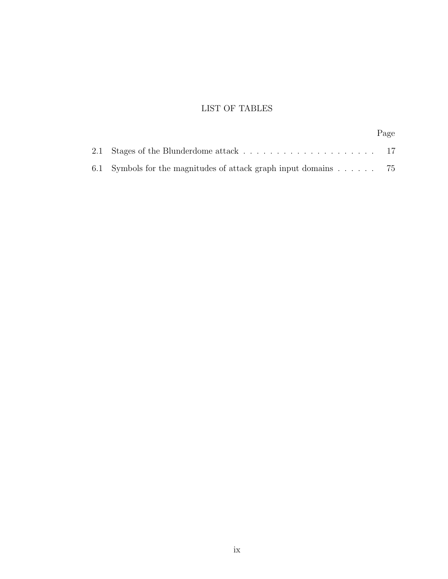# LIST OF TABLES

Page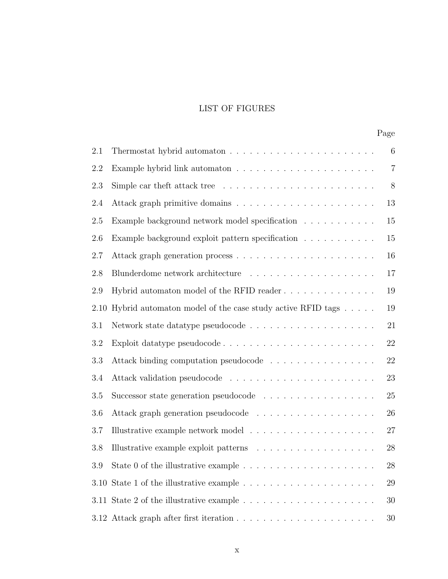# LIST OF FIGURES

| 2.1  | Thermostat hybrid automaton $\ldots \ldots \ldots \ldots \ldots \ldots \ldots \ldots$      | $\overline{6}$ |
|------|--------------------------------------------------------------------------------------------|----------------|
| 2.2  |                                                                                            | $\overline{7}$ |
| 2.3  | Simple car theft attack tree $\ldots \ldots \ldots \ldots \ldots \ldots \ldots \ldots$     | $8\,$          |
| 2.4  |                                                                                            | 13             |
| 2.5  | Example background network model specification                                             | 15             |
| 2.6  | Example background exploit pattern specification                                           | $15\,$         |
| 2.7  |                                                                                            | 16             |
| 2.8  | Blunderdome network architecture $\ldots \ldots \ldots \ldots \ldots \ldots$               | 17             |
| 2.9  | Hybrid automaton model of the RFID reader                                                  | 19             |
| 2.10 | Hybrid automaton model of the case study active RFID tags $\ldots$ .                       | 19             |
| 3.1  |                                                                                            | 21             |
| 3.2  | Exploit datatype pseudocode                                                                | 22             |
| 3.3  | Attack binding computation pseudocode                                                      | 22             |
| 3.4  |                                                                                            | 23             |
| 3.5  | Successor state generation pseudocode                                                      | 25             |
| 3.6  |                                                                                            | 26             |
| 3.7  | Illustrative example network model $\ldots \ldots \ldots \ldots \ldots \ldots$             | 27             |
| 3.8  |                                                                                            | $28\,$         |
| 3.9  | State 0 of the illustrative example $\ldots \ldots \ldots \ldots \ldots \ldots \ldots$     | $28\,$         |
| 3.10 |                                                                                            | 29             |
|      | 3.11 State 2 of the illustrative example $\dots \dots \dots \dots \dots \dots \dots \dots$ | $30\,$         |
|      |                                                                                            | $30\,$         |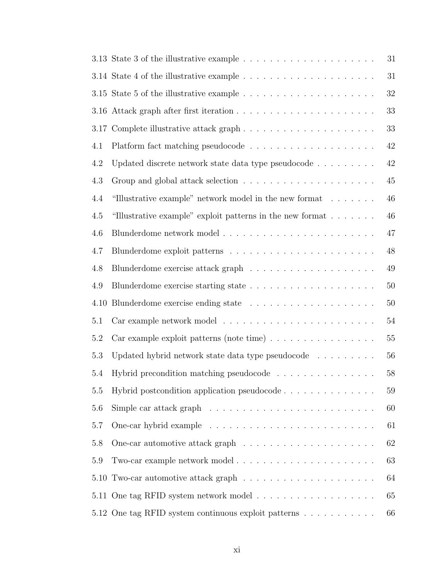|         | 3.13 State 3 of the illustrative example $\dots \dots \dots \dots \dots \dots \dots$        | 31     |
|---------|---------------------------------------------------------------------------------------------|--------|
|         | 3.14 State 4 of the illustrative example $\dots \dots \dots \dots \dots \dots \dots$        | 31     |
|         | 3.15 State 5 of the illustrative example $\dots \dots \dots \dots \dots \dots \dots \dots$  | 32     |
|         |                                                                                             | 33     |
|         |                                                                                             | $33\,$ |
| 4.1     | Platform fact matching pseudocode $\ldots \ldots \ldots \ldots \ldots \ldots \ldots \ldots$ | $42\,$ |
| 4.2     | Updated discrete network state data type pseudocode                                         | $42\,$ |
| 4.3     |                                                                                             | $45\,$ |
| 4.4     | "Illustrative example" network model in the new format                                      | $46\,$ |
| 4.5     | "Illustrative example" exploit patterns in the new format $\ldots \ldots$                   | $46\,$ |
| 4.6     |                                                                                             | $47\,$ |
| 4.7     |                                                                                             | $48\,$ |
| 4.8     | Blunderdome exercise attack graph $\ldots \ldots \ldots \ldots \ldots \ldots \ldots$        | $49\,$ |
| 4.9     | Blunderdome exercise starting state $.$                                                     | $50\,$ |
| 4.10    | Blunderdome exercise ending state $\ldots \ldots \ldots \ldots \ldots \ldots \ldots$        | $50\,$ |
| 5.1     | Car example network model $\ldots \ldots \ldots \ldots \ldots \ldots \ldots \ldots$         | $54\,$ |
| $5.2\,$ |                                                                                             | $55\,$ |
| 5.3     | Updated hybrid network state data type pseudocode $\ldots \ldots \ldots$                    | 56     |
| 5.4     | Hybrid precondition matching pseudocode $\ldots \ldots \ldots \ldots \ldots$                | $58\,$ |
| 5.5     | Hybrid postcondition application pseudocode                                                 | 59     |
| 5.6     | Simple car attack graph $\ldots \ldots \ldots \ldots \ldots \ldots \ldots \ldots$           | 60     |
| 5.7     |                                                                                             | 61     |
| 5.8     |                                                                                             | 62     |
| 5.9     |                                                                                             | 63     |
|         |                                                                                             | 64     |
|         |                                                                                             | 65     |
|         | 5.12 One tag RFID system continuous exploit patterns                                        | 66     |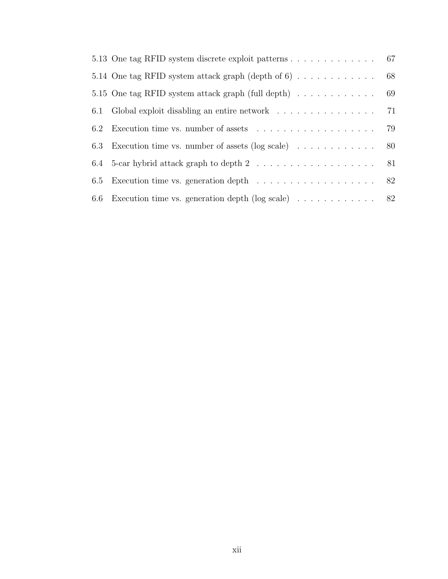| 5.13 One tag RFID system discrete exploit patterns 67                                          |    |
|------------------------------------------------------------------------------------------------|----|
| 5.14 One tag RFID system attack graph (depth of 6) $\ldots \ldots \ldots \ldots$               | 68 |
| 5.15 One tag RFID system attack graph (full depth) $\dots \dots \dots$                         | 69 |
| 6.1 Global exploit disabling an entire network 71                                              |    |
|                                                                                                |    |
| 6.3 Execution time vs. number of assets (log scale) $\ldots \ldots \ldots \ldots$ 80           |    |
| 6.4 5-car hybrid attack graph to depth 2 $\ldots \ldots \ldots \ldots \ldots \ldots \ldots$ 81 |    |
| 6.5 Execution time vs. generation depth 82                                                     |    |
| 6.6 Execution time vs. generation depth (log scale) $\ldots \ldots \ldots \ldots$ 82           |    |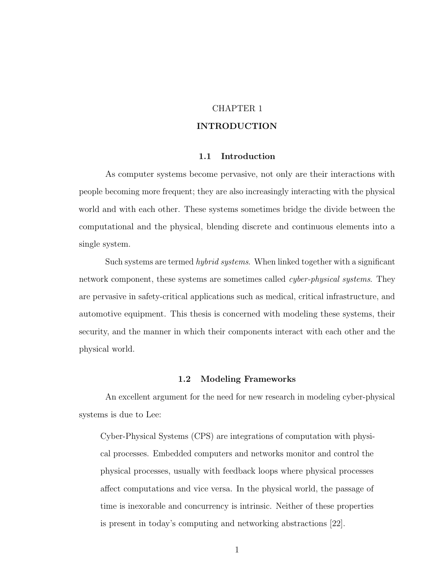# CHAPTER 1

### **INTRODUCTION**

### 1.1 Introduction

As computer systems become pervasive, not only are their interactions with people becoming more frequent; they are also increasingly interacting with the physical world and with each other. These systems sometimes bridge the divide between the computational and the physical, blending discrete and continuous elements into a single system.

Such systems are termed hybrid systems. When linked together with a significant network component, these systems are sometimes called *cyber-physical systems*. They are pervasive in safety-critical applications such as medical, critical infrastructure, and automotive equipment. This thesis is concerned with modeling these systems, their security, and the manner in which their components interact with each other and the physical world.

#### 1.2 Modeling Frameworks

An excellent argument for the need for new research in modeling cyber-physical systems is due to Lee:

Cyber-Physical Systems (CPS) are integrations of computation with physical processes. Embedded computers and networks monitor and control the physical processes, usually with feedback loops where physical processes affect computations and vice versa. In the physical world, the passage of time is inexorable and concurrency is intrinsic. Neither of these properties is present in today's computing and networking abstractions [22].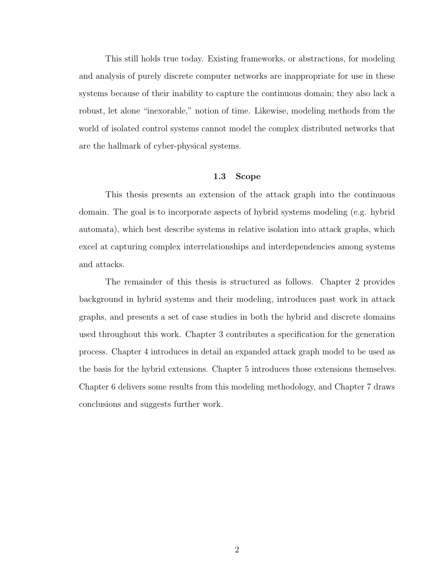This still holds true today. Existing frameworks, or abstractions, for modeling and analysis of purely discrete computer networks are inappropriate for use in these systems because of their inability to capture the continuous domain; they also lack a robust, let alone "inexorable," notion of time. Likewise, modeling methods from the world of isolated control systems cannot model the complex distributed networks that are the hallmark of cyber-physical systems.

#### 1.3 Scope

This thesis presents an extension of the attack graph into the continuous domain. The goal is to incorporate aspects of hybrid systems modeling (e.g. hybrid automata), which best describe systems in relative isolation into attack graphs, which excel at capturing complex interrelationships and interdependencies among systems and attacks.

The remainder of this thesis is structured as follows. Chapter 2 provides background in hybrid systems and their modeling, introduces past work in attack graphs, and presents a set of case studies in both the hybrid and discrete domains used throughout this work. Chapter 3 contributes a specification for the generation process. Chapter 4 introduces in detail an expanded attack graph model to be used as the basis for the hybrid extensions. Chapter 5 introduces those extensions themselves. Chapter 6 delivers some results from this modeling methodology, and Chapter 7 draws conclusions and suggests further work.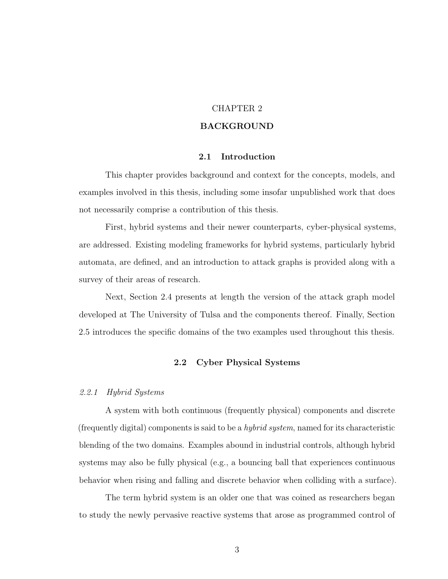# CHAPTER 2

# **BACKGROUND**

### 2.1 Introduction

This chapter provides background and context for the concepts, models, and examples involved in this thesis, including some insofar unpublished work that does not necessarily comprise a contribution of this thesis.

First, hybrid systems and their newer counterparts, cyber-physical systems, are addressed. Existing modeling frameworks for hybrid systems, particularly hybrid automata, are defined, and an introduction to attack graphs is provided along with a survey of their areas of research.

Next, Section 2.4 presents at length the version of the attack graph model developed at The University of Tulsa and the components thereof. Finally, Section 2.5 introduces the specific domains of the two examples used throughout this thesis.

# 2.2 Cyber Physical Systems

#### 2.2.1 Hybrid Systems

A system with both continuous (frequently physical) components and discrete (frequently digital) components is said to be a hybrid system, named for its characteristic blending of the two domains. Examples abound in industrial controls, although hybrid systems may also be fully physical (e.g., a bouncing ball that experiences continuous behavior when rising and falling and discrete behavior when colliding with a surface).

The term hybrid system is an older one that was coined as researchers began to study the newly pervasive reactive systems that arose as programmed control of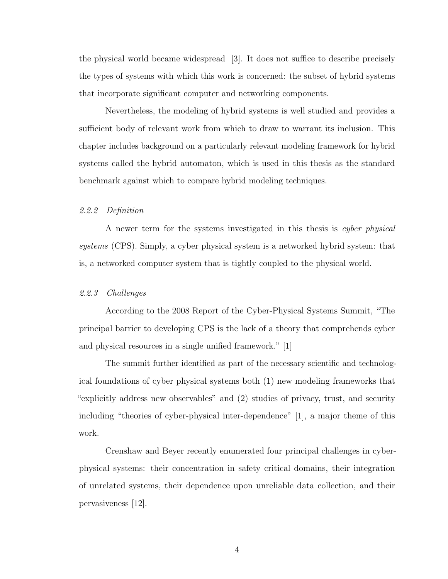the physical world became widespread [3]. It does not suffice to describe precisely the types of systems with which this work is concerned: the subset of hybrid systems that incorporate significant computer and networking components.

Nevertheless, the modeling of hybrid systems is well studied and provides a sufficient body of relevant work from which to draw to warrant its inclusion. This chapter includes background on a particularly relevant modeling framework for hybrid systems called the hybrid automaton, which is used in this thesis as the standard benchmark against which to compare hybrid modeling techniques.

#### 2.2.2 Definition

A newer term for the systems investigated in this thesis is cyber physical systems (CPS). Simply, a cyber physical system is a networked hybrid system: that is, a networked computer system that is tightly coupled to the physical world.

# 2.2.3 Challenges

According to the 2008 Report of the Cyber-Physical Systems Summit, "The principal barrier to developing CPS is the lack of a theory that comprehends cyber and physical resources in a single unified framework." [1]

The summit further identified as part of the necessary scientific and technological foundations of cyber physical systems both (1) new modeling frameworks that "explicitly address new observables" and (2) studies of privacy, trust, and security including "theories of cyber-physical inter-dependence" [1], a major theme of this work.

Crenshaw and Beyer recently enumerated four principal challenges in cyberphysical systems: their concentration in safety critical domains, their integration of unrelated systems, their dependence upon unreliable data collection, and their pervasiveness [12].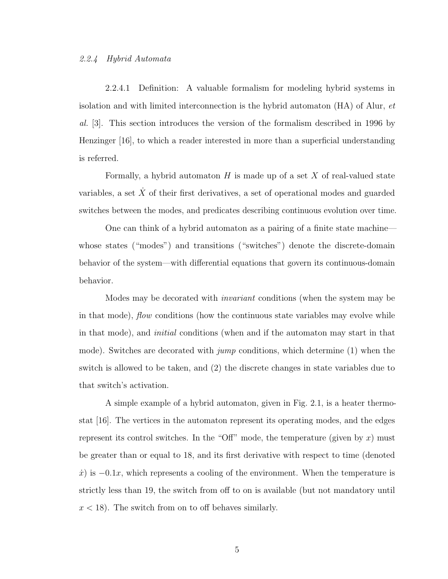#### 2.2.4 Hybrid Automata

2.2.4.1 Definition: A valuable formalism for modeling hybrid systems in isolation and with limited interconnection is the hybrid automaton  $(HA)$  of Alur,  $et$ al. [3]. This section introduces the version of the formalism described in 1996 by Henzinger [16], to which a reader interested in more than a superficial understanding is referred.

Formally, a hybrid automator  $H$  is made up of a set  $X$  of real-valued state variables, a set  $\dot{X}$  of their first derivatives, a set of operational modes and guarded switches between the modes, and predicates describing continuous evolution over time.

One can think of a hybrid automaton as a pairing of a finite state machine whose states ("modes") and transitions ("switches") denote the discrete-domain behavior of the system—with differential equations that govern its continuous-domain behavior.

Modes may be decorated with *invariant* conditions (when the system may be in that mode), *flow* conditions (how the continuous state variables may evolve while in that mode), and initial conditions (when and if the automaton may start in that mode). Switches are decorated with *jump* conditions, which determine  $(1)$  when the switch is allowed to be taken, and (2) the discrete changes in state variables due to that switch's activation.

A simple example of a hybrid automaton, given in Fig. 2.1, is a heater thermostat [16]. The vertices in the automaton represent its operating modes, and the edges represent its control switches. In the "Off" mode, the temperature (given by  $x$ ) must be greater than or equal to 18, and its first derivative with respect to time (denoted  $\dot{x}$ ) is  $-0.1x$ , which represents a cooling of the environment. When the temperature is strictly less than 19, the switch from off to on is available (but not mandatory until  $x < 18$ ). The switch from on to off behaves similarly.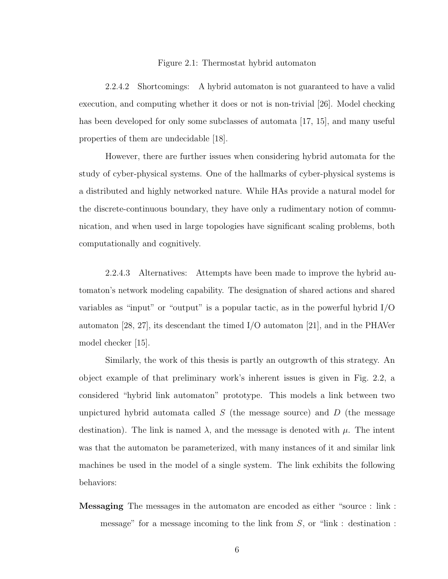#### Figure 2.1: Thermostat hybrid automaton

2.2.4.2 Shortcomings: A hybrid automaton is not guaranteed to have a valid execution, and computing whether it does or not is non-trivial [26]. Model checking has been developed for only some subclasses of automata [17, 15], and many useful properties of them are undecidable [18].

However, there are further issues when considering hybrid automata for the study of cyber-physical systems. One of the hallmarks of cyber-physical systems is a distributed and highly networked nature. While HAs provide a natural model for the discrete-continuous boundary, they have only a rudimentary notion of communication, and when used in large topologies have significant scaling problems, both computationally and cognitively.

2.2.4.3 Alternatives: Attempts have been made to improve the hybrid automaton's network modeling capability. The designation of shared actions and shared variables as "input" or "output" is a popular tactic, as in the powerful hybrid I/O automaton [28, 27], its descendant the timed I/O automaton [21], and in the PHAVer model checker [15].

Similarly, the work of this thesis is partly an outgrowth of this strategy. An object example of that preliminary work's inherent issues is given in Fig. 2.2, a considered "hybrid link automaton" prototype. This models a link between two unpictured hybrid automata called  $S$  (the message source) and  $D$  (the message destination). The link is named  $\lambda$ , and the message is denoted with  $\mu$ . The intent was that the automaton be parameterized, with many instances of it and similar link machines be used in the model of a single system. The link exhibits the following behaviors:

Messaging The messages in the automaton are encoded as either "source : link : message" for a message incoming to the link from  $S$ , or "link : destination :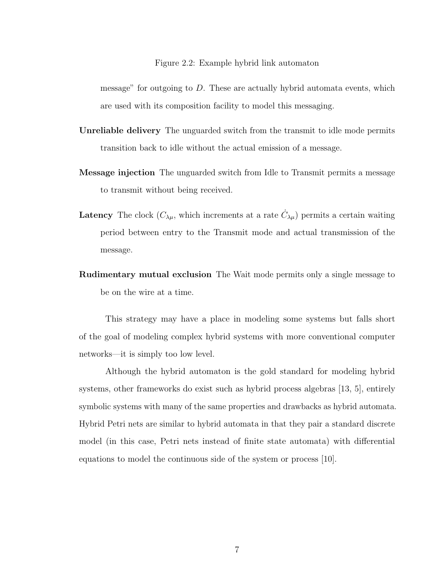Figure 2.2: Example hybrid link automaton

message" for outgoing to  $D$ . These are actually hybrid automata events, which are used with its composition facility to model this messaging.

- Unreliable delivery The unguarded switch from the transmit to idle mode permits transition back to idle without the actual emission of a message.
- Message injection The unguarded switch from Idle to Transmit permits a message to transmit without being received.
- Latency The clock  $(C_{\lambda\mu}$ , which increments at a rate  $\dot{C}_{\lambda\mu}$ ) permits a certain waiting period between entry to the Transmit mode and actual transmission of the message.
- Rudimentary mutual exclusion The Wait mode permits only a single message to be on the wire at a time.

This strategy may have a place in modeling some systems but falls short of the goal of modeling complex hybrid systems with more conventional computer networks—it is simply too low level.

Although the hybrid automaton is the gold standard for modeling hybrid systems, other frameworks do exist such as hybrid process algebras [13, 5], entirely symbolic systems with many of the same properties and drawbacks as hybrid automata. Hybrid Petri nets are similar to hybrid automata in that they pair a standard discrete model (in this case, Petri nets instead of finite state automata) with differential equations to model the continuous side of the system or process [10].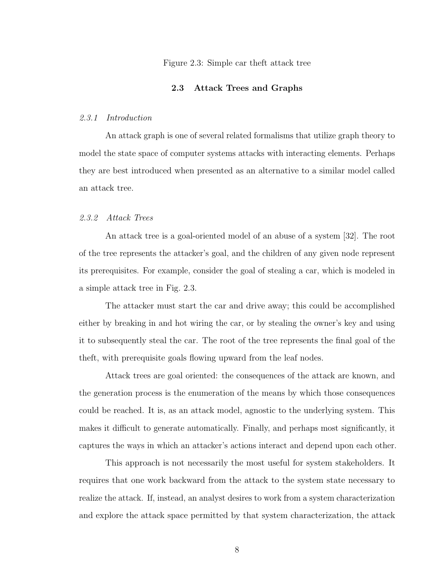Figure 2.3: Simple car theft attack tree

# 2.3 Attack Trees and Graphs

#### 2.3.1 Introduction

An attack graph is one of several related formalisms that utilize graph theory to model the state space of computer systems attacks with interacting elements. Perhaps they are best introduced when presented as an alternative to a similar model called an attack tree.

#### 2.3.2 Attack Trees

An attack tree is a goal-oriented model of an abuse of a system [32]. The root of the tree represents the attacker's goal, and the children of any given node represent its prerequisites. For example, consider the goal of stealing a car, which is modeled in a simple attack tree in Fig. 2.3.

The attacker must start the car and drive away; this could be accomplished either by breaking in and hot wiring the car, or by stealing the owner's key and using it to subsequently steal the car. The root of the tree represents the final goal of the theft, with prerequisite goals flowing upward from the leaf nodes.

Attack trees are goal oriented: the consequences of the attack are known, and the generation process is the enumeration of the means by which those consequences could be reached. It is, as an attack model, agnostic to the underlying system. This makes it difficult to generate automatically. Finally, and perhaps most significantly, it captures the ways in which an attacker's actions interact and depend upon each other.

This approach is not necessarily the most useful for system stakeholders. It requires that one work backward from the attack to the system state necessary to realize the attack. If, instead, an analyst desires to work from a system characterization and explore the attack space permitted by that system characterization, the attack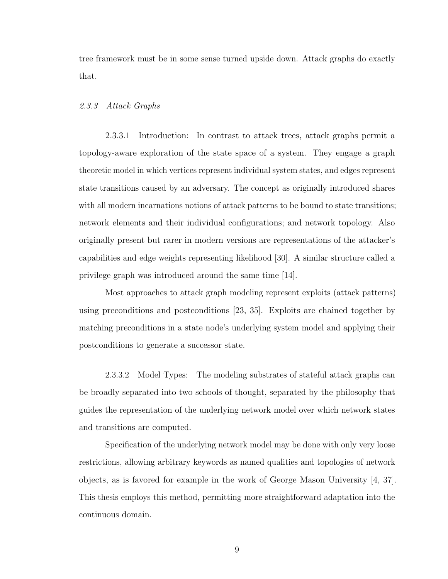tree framework must be in some sense turned upside down. Attack graphs do exactly that.

#### 2.3.3 Attack Graphs

2.3.3.1 Introduction: In contrast to attack trees, attack graphs permit a topology-aware exploration of the state space of a system. They engage a graph theoretic model in which vertices represent individual system states, and edges represent state transitions caused by an adversary. The concept as originally introduced shares with all modern incarnations notions of attack patterns to be bound to state transitions; network elements and their individual configurations; and network topology. Also originally present but rarer in modern versions are representations of the attacker's capabilities and edge weights representing likelihood [30]. A similar structure called a privilege graph was introduced around the same time [14].

Most approaches to attack graph modeling represent exploits (attack patterns) using preconditions and postconditions [23, 35]. Exploits are chained together by matching preconditions in a state node's underlying system model and applying their postconditions to generate a successor state.

2.3.3.2 Model Types: The modeling substrates of stateful attack graphs can be broadly separated into two schools of thought, separated by the philosophy that guides the representation of the underlying network model over which network states and transitions are computed.

Specification of the underlying network model may be done with only very loose restrictions, allowing arbitrary keywords as named qualities and topologies of network objects, as is favored for example in the work of George Mason University [4, 37]. This thesis employs this method, permitting more straightforward adaptation into the continuous domain.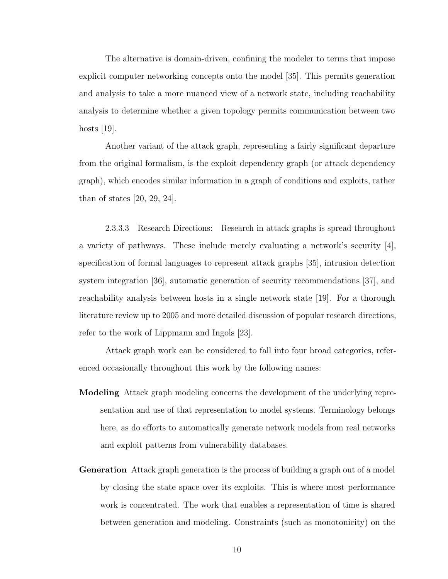The alternative is domain-driven, confining the modeler to terms that impose explicit computer networking concepts onto the model [35]. This permits generation and analysis to take a more nuanced view of a network state, including reachability analysis to determine whether a given topology permits communication between two hosts [19].

Another variant of the attack graph, representing a fairly significant departure from the original formalism, is the exploit dependency graph (or attack dependency graph), which encodes similar information in a graph of conditions and exploits, rather than of states [20, 29, 24].

2.3.3.3 Research Directions: Research in attack graphs is spread throughout a variety of pathways. These include merely evaluating a network's security [4], specification of formal languages to represent attack graphs [35], intrusion detection system integration [36], automatic generation of security recommendations [37], and reachability analysis between hosts in a single network state [19]. For a thorough literature review up to 2005 and more detailed discussion of popular research directions, refer to the work of Lippmann and Ingols [23].

Attack graph work can be considered to fall into four broad categories, referenced occasionally throughout this work by the following names:

- Modeling Attack graph modeling concerns the development of the underlying representation and use of that representation to model systems. Terminology belongs here, as do efforts to automatically generate network models from real networks and exploit patterns from vulnerability databases.
- Generation Attack graph generation is the process of building a graph out of a model by closing the state space over its exploits. This is where most performance work is concentrated. The work that enables a representation of time is shared between generation and modeling. Constraints (such as monotonicity) on the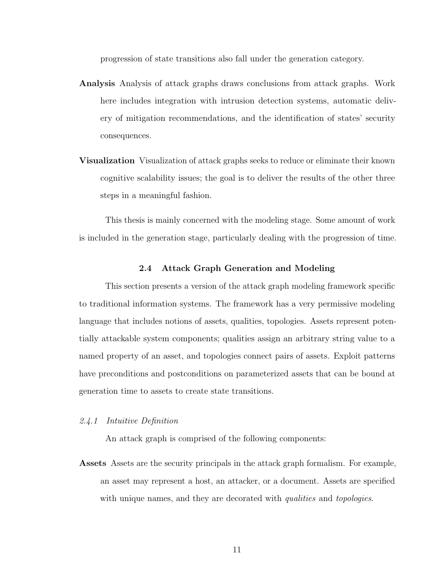progression of state transitions also fall under the generation category.

- Analysis Analysis of attack graphs draws conclusions from attack graphs. Work here includes integration with intrusion detection systems, automatic delivery of mitigation recommendations, and the identification of states' security consequences.
- Visualization Visualization of attack graphs seeks to reduce or eliminate their known cognitive scalability issues; the goal is to deliver the results of the other three steps in a meaningful fashion.

This thesis is mainly concerned with the modeling stage. Some amount of work is included in the generation stage, particularly dealing with the progression of time.

### 2.4 Attack Graph Generation and Modeling

This section presents a version of the attack graph modeling framework specific to traditional information systems. The framework has a very permissive modeling language that includes notions of assets, qualities, topologies. Assets represent potentially attackable system components; qualities assign an arbitrary string value to a named property of an asset, and topologies connect pairs of assets. Exploit patterns have preconditions and postconditions on parameterized assets that can be bound at generation time to assets to create state transitions.

#### 2.4.1 Intuitive Definition

An attack graph is comprised of the following components:

Assets Assets are the security principals in the attack graph formalism. For example, an asset may represent a host, an attacker, or a document. Assets are specified with unique names, and they are decorated with *qualities* and *topologies*.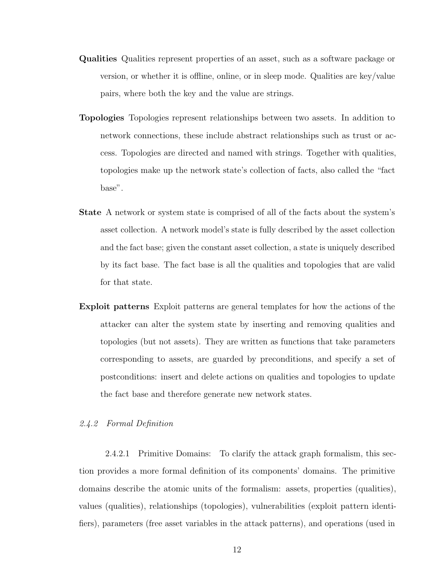- Qualities Qualities represent properties of an asset, such as a software package or version, or whether it is offline, online, or in sleep mode. Qualities are key/value pairs, where both the key and the value are strings.
- Topologies Topologies represent relationships between two assets. In addition to network connections, these include abstract relationships such as trust or access. Topologies are directed and named with strings. Together with qualities, topologies make up the network state's collection of facts, also called the "fact base".
- State A network or system state is comprised of all of the facts about the system's asset collection. A network model's state is fully described by the asset collection and the fact base; given the constant asset collection, a state is uniquely described by its fact base. The fact base is all the qualities and topologies that are valid for that state.
- Exploit patterns Exploit patterns are general templates for how the actions of the attacker can alter the system state by inserting and removing qualities and topologies (but not assets). They are written as functions that take parameters corresponding to assets, are guarded by preconditions, and specify a set of postconditions: insert and delete actions on qualities and topologies to update the fact base and therefore generate new network states.
- 2.4.2 Formal Definition

2.4.2.1 Primitive Domains: To clarify the attack graph formalism, this section provides a more formal definition of its components' domains. The primitive domains describe the atomic units of the formalism: assets, properties (qualities), values (qualities), relationships (topologies), vulnerabilities (exploit pattern identifiers), parameters (free asset variables in the attack patterns), and operations (used in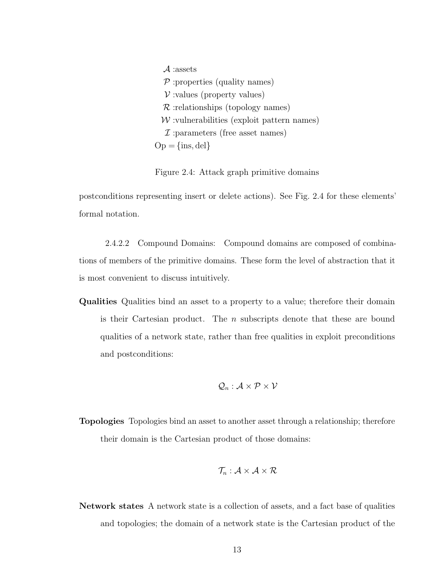$\mathcal A$  : assets  $P$ : properties (quality names)  $V$ : values (property values)  $\mathcal R$  : relationships (topology names)  $W$ : vulnerabilities (exploit pattern names)  $\mathcal I$ : parameters (free asset names)  $Op = \{ins, del\}$ 

Figure 2.4: Attack graph primitive domains

postconditions representing insert or delete actions). See Fig. 2.4 for these elements' formal notation.

2.4.2.2 Compound Domains: Compound domains are composed of combinations of members of the primitive domains. These form the level of abstraction that it is most convenient to discuss intuitively.

Qualities Qualities bind an asset to a property to a value; therefore their domain is their Cartesian product. The  $n$  subscripts denote that these are bound qualities of a network state, rather than free qualities in exploit preconditions and postconditions:

$$
\mathcal{Q}_n: \mathcal{A} \times \mathcal{P} \times \mathcal{V}
$$

Topologies Topologies bind an asset to another asset through a relationship; therefore their domain is the Cartesian product of those domains:

$$
\mathcal{T}_n: \mathcal{A} \times \mathcal{A} \times \mathcal{R}
$$

Network states A network state is a collection of assets, and a fact base of qualities and topologies; the domain of a network state is the Cartesian product of the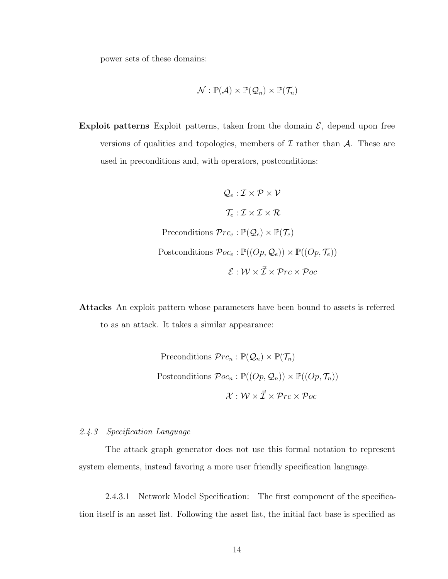power sets of these domains:

$$
\mathcal{N}: \mathbb{P}(\mathcal{A}) \times \mathbb{P}(\mathcal{Q}_n) \times \mathbb{P}(\mathcal{T}_n)
$$

Exploit patterns Exploit patterns, taken from the domain  $\mathcal{E}$ , depend upon free versions of qualities and topologies, members of  $\mathcal I$  rather than  $\mathcal A$ . These are used in preconditions and, with operators, postconditions:

$$
Q_e: \mathcal{I} \times \mathcal{P} \times \mathcal{V}
$$

$$
\mathcal{T}_e: \mathcal{I} \times \mathcal{I} \times \mathcal{R}
$$

$$
\text{Preconditions } \mathcal{P}r c_e: \mathbb{P}(\mathcal{Q}_e) \times \mathbb{P}(\mathcal{T}_e)
$$

$$
\text{Postconditions } \mathcal{P}oc_e: \mathbb{P}((Op, \mathcal{Q}_e)) \times \mathbb{P}((Op, \mathcal{T}_e))
$$

$$
\mathcal{E}: \mathcal{W} \times \mathcal{I} \times \mathcal{P}rc \times \mathcal{P}oc
$$

Attacks An exploit pattern whose parameters have been bound to assets is referred to as an attack. It takes a similar appearance:

Preconditions 
$$
\mathcal{P}rc_n : \mathbb{P}(\mathcal{Q}_n) \times \mathbb{P}(\mathcal{T}_n)
$$
  
Postconditions  $\mathcal{P}oc_n : \mathbb{P}((Op, \mathcal{Q}_n)) \times \mathbb{P}((Op, \mathcal{T}_n))$   
 $\mathcal{X} : \mathcal{W} \times \mathcal{I} \times \mathcal{P}rc \times \mathcal{P}oc$ 

# 2.4.3 Specification Language

The attack graph generator does not use this formal notation to represent system elements, instead favoring a more user friendly specification language.

2.4.3.1 Network Model Specification: The first component of the specification itself is an asset list. Following the asset list, the initial fact base is specified as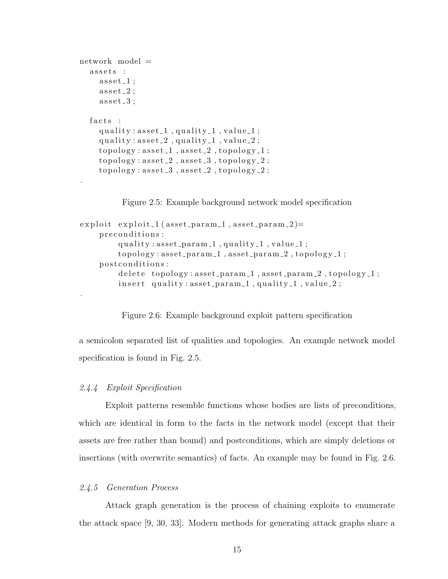```
network model =
  assets :
     \texttt{asset\_1};
    \texttt{asset-2};
    \texttt{asset-3};
  facts :
    quality: asset_1, quality-1, value-1;
    quality: asset_2, quality-1, value-2;
    topology: asset_1, asset_2, topology_1;topology: asset_2, asset_3, topology_2;topology: asset_3, asset_2, topology_2;
```
Figure 2.5: Example background network model specification

```
\alpha exploit exploit 1 (asset param 1, asset param 2)=
    preconditions:
         quality: asset\_param\_1, quality\_1, value\_1;topology: asset\_param\_1, asset\_param\_2, topology\_1;
    p o st c on ditions :
         de lete topology: asset\_param_1, asset\_param_2, topology_1;
         insert quality: asset_param_1, quality_1, value_2;
.
```
Figure 2.6: Example background exploit pattern specification

a semicolon separated list of qualities and topologies. An example network model specification is found in Fig. 2.5.

#### 2.4.4 Exploit Specification

.

Exploit patterns resemble functions whose bodies are lists of preconditions, which are identical in form to the facts in the network model (except that their assets are free rather than bound) and postconditions, which are simply deletions or insertions (with overwrite semantics) of facts. An example may be found in Fig. 2.6.

#### 2.4.5 Generation Process

Attack graph generation is the process of chaining exploits to enumerate the attack space [9, 30, 33]. Modern methods for generating attack graphs share a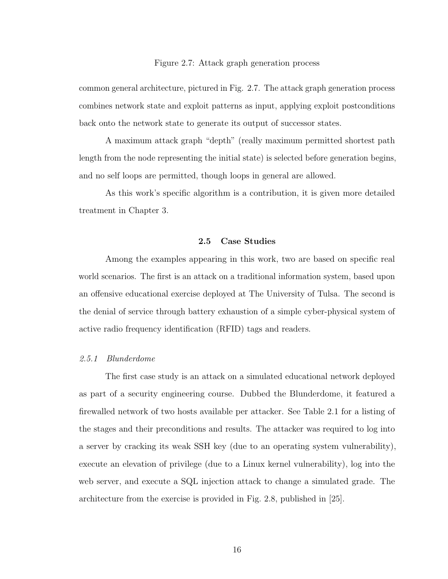Figure 2.7: Attack graph generation process

common general architecture, pictured in Fig. 2.7. The attack graph generation process combines network state and exploit patterns as input, applying exploit postconditions back onto the network state to generate its output of successor states.

A maximum attack graph "depth" (really maximum permitted shortest path length from the node representing the initial state) is selected before generation begins, and no self loops are permitted, though loops in general are allowed.

As this work's specific algorithm is a contribution, it is given more detailed treatment in Chapter 3.

#### 2.5 Case Studies

Among the examples appearing in this work, two are based on specific real world scenarios. The first is an attack on a traditional information system, based upon an offensive educational exercise deployed at The University of Tulsa. The second is the denial of service through battery exhaustion of a simple cyber-physical system of active radio frequency identification (RFID) tags and readers.

### 2.5.1 Blunderdome

The first case study is an attack on a simulated educational network deployed as part of a security engineering course. Dubbed the Blunderdome, it featured a firewalled network of two hosts available per attacker. See Table 2.1 for a listing of the stages and their preconditions and results. The attacker was required to log into a server by cracking its weak SSH key (due to an operating system vulnerability), execute an elevation of privilege (due to a Linux kernel vulnerability), log into the web server, and execute a SQL injection attack to change a simulated grade. The architecture from the exercise is provided in Fig. 2.8, published in [25].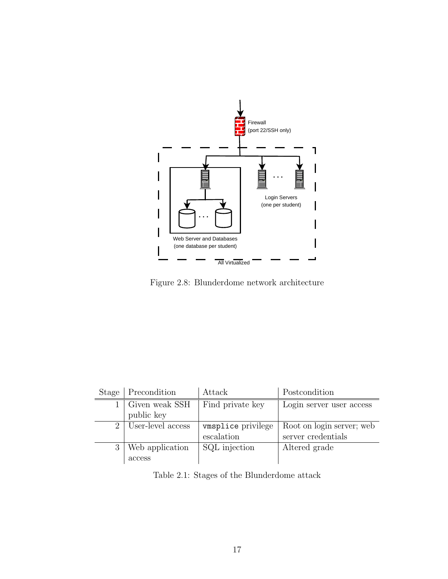

Figure 2.8: Blunderdome network architecture

| Stage          | Precondition      | Attack             | Postcondition             |
|----------------|-------------------|--------------------|---------------------------|
|                | Given weak SSH    | Find private key   | Login server user access  |
|                | public key        |                    |                           |
| $\overline{2}$ | User-level access | vmsplice privilege | Root on login server; web |
|                |                   | escalation         | server credentials        |
|                | Web application   | SQL injection      | Altered grade             |
|                | access            |                    |                           |

Table 2.1: Stages of the Blunderdome attack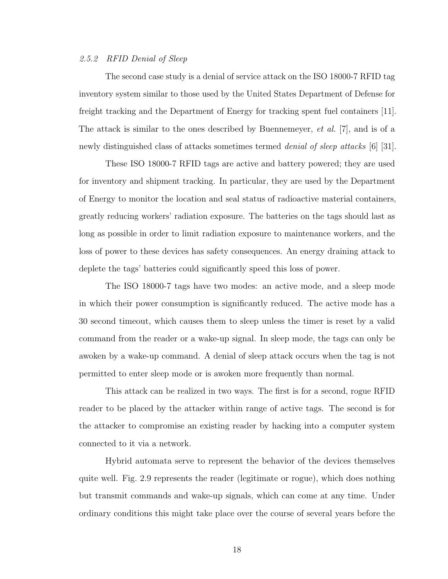#### 2.5.2 RFID Denial of Sleep

The second case study is a denial of service attack on the ISO 18000-7 RFID tag inventory system similar to those used by the United States Department of Defense for freight tracking and the Department of Energy for tracking spent fuel containers [11]. The attack is similar to the ones described by Buennemeyer, *et al.* [7], and is of a newly distinguished class of attacks sometimes termed denial of sleep attacks [6] [31].

These ISO 18000-7 RFID tags are active and battery powered; they are used for inventory and shipment tracking. In particular, they are used by the Department of Energy to monitor the location and seal status of radioactive material containers, greatly reducing workers' radiation exposure. The batteries on the tags should last as long as possible in order to limit radiation exposure to maintenance workers, and the loss of power to these devices has safety consequences. An energy draining attack to deplete the tags' batteries could significantly speed this loss of power.

The ISO 18000-7 tags have two modes: an active mode, and a sleep mode in which their power consumption is significantly reduced. The active mode has a 30 second timeout, which causes them to sleep unless the timer is reset by a valid command from the reader or a wake-up signal. In sleep mode, the tags can only be awoken by a wake-up command. A denial of sleep attack occurs when the tag is not permitted to enter sleep mode or is awoken more frequently than normal.

This attack can be realized in two ways. The first is for a second, rogue RFID reader to be placed by the attacker within range of active tags. The second is for the attacker to compromise an existing reader by hacking into a computer system connected to it via a network.

Hybrid automata serve to represent the behavior of the devices themselves quite well. Fig. 2.9 represents the reader (legitimate or rogue), which does nothing but transmit commands and wake-up signals, which can come at any time. Under ordinary conditions this might take place over the course of several years before the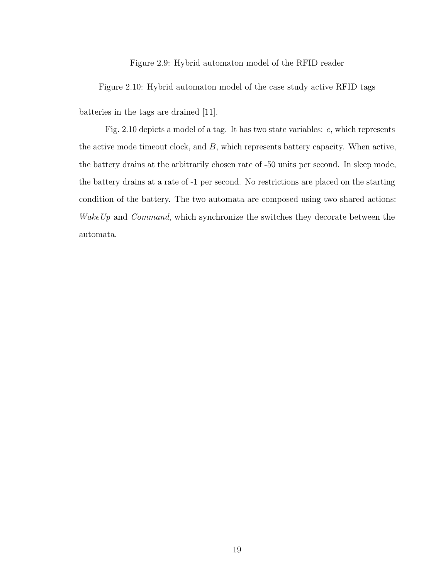Figure 2.9: Hybrid automaton model of the RFID reader

Figure 2.10: Hybrid automaton model of the case study active RFID tags

batteries in the tags are drained [11].

Fig. 2.10 depicts a model of a tag. It has two state variables:  $c$ , which represents the active mode timeout clock, and B, which represents battery capacity. When active, the battery drains at the arbitrarily chosen rate of -50 units per second. In sleep mode, the battery drains at a rate of -1 per second. No restrictions are placed on the starting condition of the battery. The two automata are composed using two shared actions: WakeUp and Command, which synchronize the switches they decorate between the automata.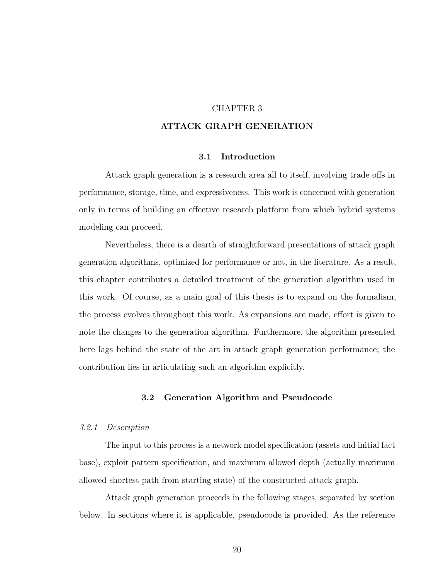# CHAPTER 3

# ATTACK GRAPH GENERATION

#### 3.1 Introduction

Attack graph generation is a research area all to itself, involving trade offs in performance, storage, time, and expressiveness. This work is concerned with generation only in terms of building an effective research platform from which hybrid systems modeling can proceed.

Nevertheless, there is a dearth of straightforward presentations of attack graph generation algorithms, optimized for performance or not, in the literature. As a result, this chapter contributes a detailed treatment of the generation algorithm used in this work. Of course, as a main goal of this thesis is to expand on the formalism, the process evolves throughout this work. As expansions are made, effort is given to note the changes to the generation algorithm. Furthermore, the algorithm presented here lags behind the state of the art in attack graph generation performance; the contribution lies in articulating such an algorithm explicitly.

# 3.2 Generation Algorithm and Pseudocode

#### 3.2.1 Description

The input to this process is a network model specification (assets and initial fact base), exploit pattern specification, and maximum allowed depth (actually maximum allowed shortest path from starting state) of the constructed attack graph.

Attack graph generation proceeds in the following stages, separated by section below. In sections where it is applicable, pseudocode is provided. As the reference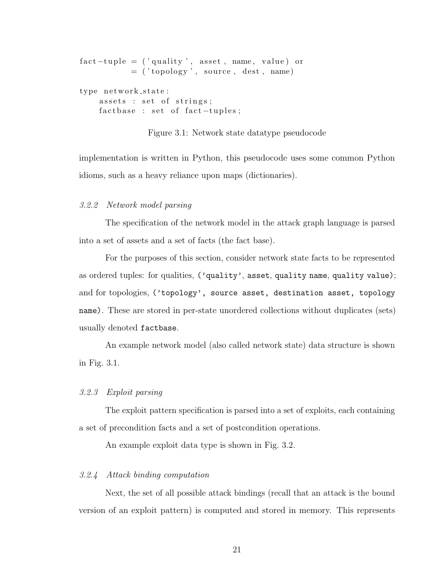```
fact -tuple = ('quality', asset, name, value) or
           = ('topology', source, dest, name)
type network_state:
    assets : set of strings;
    fact base : set of fact-tuples;
```
Figure 3.1: Network state datatype pseudocode

implementation is written in Python, this pseudocode uses some common Python idioms, such as a heavy reliance upon maps (dictionaries).

# 3.2.2 Network model parsing

The specification of the network model in the attack graph language is parsed into a set of assets and a set of facts (the fact base).

For the purposes of this section, consider network state facts to be represented as ordered tuples: for qualities, ('quality', asset, quality name, quality value); and for topologies, ('topology', source asset, destination asset, topology name). These are stored in per-state unordered collections without duplicates (sets) usually denoted factbase.

An example network model (also called network state) data structure is shown in Fig. 3.1.

#### 3.2.3 Exploit parsing

The exploit pattern specification is parsed into a set of exploits, each containing a set of precondition facts and a set of postcondition operations.

An example exploit data type is shown in Fig. 3.2.

#### 3.2.4 Attack binding computation

Next, the set of all possible attack bindings (recall that an attack is the bound version of an exploit pattern) is computed and stored in memory. This represents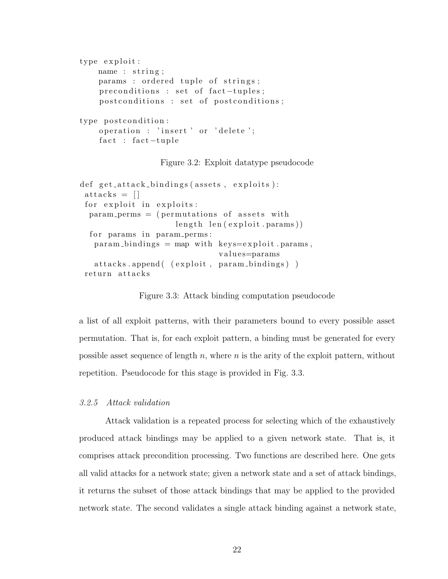```
type exploit:
   name : string;
    params : ordered tuple of strings;
    preconditions : set of fact-tuples;
    postconditions : set of postconditions;
type postcondition:
    operation : 'insert' or 'delete';
    fact : fact -tuple
```
Figure 3.2: Exploit datatype pseudocode

```
def get_attack_bindings(assets, exploits):
 {\rm attacks} = []for exploit in exploits:
 param\_perms = (permutations of assets withlength len(exploit .params))for params in param_perms:
   param\_bindings = map with keys = exploit.params,values=params
   attacks.append ( ( exploit, param_bindings ) )
return attacks
```
Figure 3.3: Attack binding computation pseudocode

a list of all exploit patterns, with their parameters bound to every possible asset permutation. That is, for each exploit pattern, a binding must be generated for every possible asset sequence of length n, where  $n$  is the arity of the exploit pattern, without repetition. Pseudocode for this stage is provided in Fig. 3.3.

### 3.2.5 Attack validation

Attack validation is a repeated process for selecting which of the exhaustively produced attack bindings may be applied to a given network state. That is, it comprises attack precondition processing. Two functions are described here. One gets all valid attacks for a network state; given a network state and a set of attack bindings, it returns the subset of those attack bindings that may be applied to the provided network state. The second validates a single attack binding against a network state,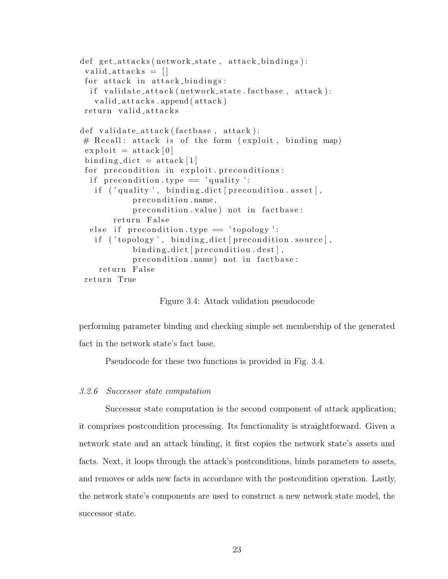```
def get_attacks(network_state, attack_bindings):
 valid\_attacks = []for attack in attack\_bindings:
  if validate_attack(network_state.factbase, attack):
   valid\_attacks.append(attack)return valid attacks
def \text{ validate}_-attack(factbase, attack):# Recall: attack is of the form (exploit, binding map)\exploit = attack [0]
 binding\_dict = attack [1]for precondition in exploit preconditions:
  if precondition type = 'quality':
   if ('quality', binding_dict[precondition. asset],precondition.name,
           precondition. value) not in factbase:
       return False
  else if precondition type = 'topology':
   if ('topology', binding-dict [precondition.source],
           binding\_dict [ precondition . dest],
           precondition.name) not in factbase:
    return False
return True
```
Figure 3.4: Attack validation pseudocode

performing parameter binding and checking simple set membership of the generated fact in the network state's fact base.

Pseudocode for these two functions is provided in Fig. 3.4.

#### 3.2.6 Successor state computation

Successor state computation is the second component of attack application; it comprises postcondition processing. Its functionality is straightforward. Given a network state and an attack binding, it first copies the network state's assets and facts. Next, it loops through the attack's postconditions, binds parameters to assets, and removes or adds new facts in accordance with the postcondition operation. Lastly, the network state's components are used to construct a new network state model, the successor state.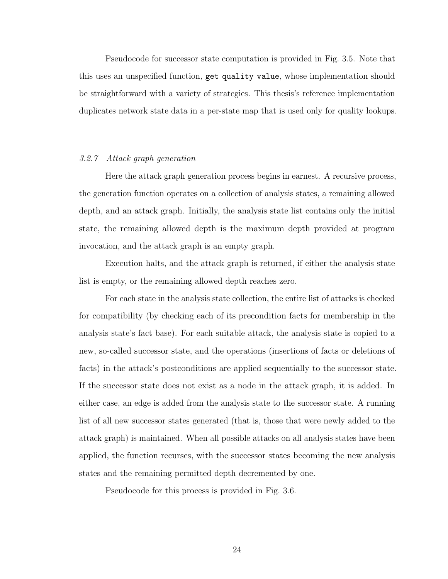Pseudocode for successor state computation is provided in Fig. 3.5. Note that this uses an unspecified function, get quality value, whose implementation should be straightforward with a variety of strategies. This thesis's reference implementation duplicates network state data in a per-state map that is used only for quality lookups.

#### 3.2.7 Attack graph generation

Here the attack graph generation process begins in earnest. A recursive process, the generation function operates on a collection of analysis states, a remaining allowed depth, and an attack graph. Initially, the analysis state list contains only the initial state, the remaining allowed depth is the maximum depth provided at program invocation, and the attack graph is an empty graph.

Execution halts, and the attack graph is returned, if either the analysis state list is empty, or the remaining allowed depth reaches zero.

For each state in the analysis state collection, the entire list of attacks is checked for compatibility (by checking each of its precondition facts for membership in the analysis state's fact base). For each suitable attack, the analysis state is copied to a new, so-called successor state, and the operations (insertions of facts or deletions of facts) in the attack's postconditions are applied sequentially to the successor state. If the successor state does not exist as a node in the attack graph, it is added. In either case, an edge is added from the analysis state to the successor state. A running list of all new successor states generated (that is, those that were newly added to the attack graph) is maintained. When all possible attacks on all analysis states have been applied, the function recurses, with the successor states becoming the new analysis states and the remaining permitted depth decremented by one.

Pseudocode for this process is provided in Fig. 3.6.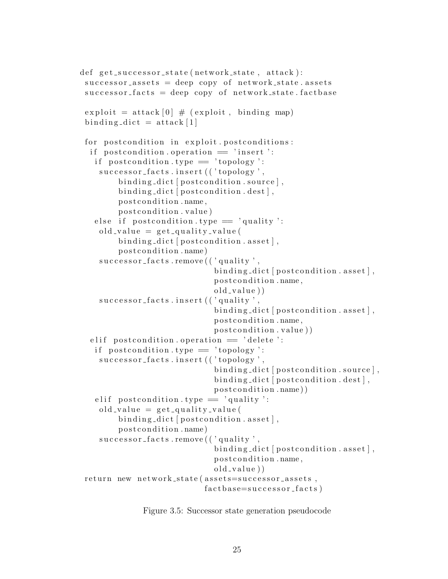```
def get_successor_state(network_state, attack):
 successor\_assets = deep copy of network-state. assetssuccessor_facts = deep copy of network-state.factbase\exploit = attack [0] \# (exploit, binding map)
 binding\_dict = attack [1]for postcondition in exploit postconditions:
  if postcondition. operation = 'insert ':
   if postcondition.type = 'topology':
    successor_facts.insert(('topology',
         binding-dict [postcondition . source],
         \boldsymbol{\text{binding\_dict}} [ postcondition . dest],
         postcondition.name,
         postcondition. value)
   else if postcondition type = 'quality':
    old_value = get_quality_value\boldsymbol{\text{binding\_dict}} [ postcondition . asset],
         p o st c on dition . name)
    successor_facts. remove (('quality',\boldsymbol{\text{binding\_dict}} [ postcondition . asset],
                               postcondition.name,
                               old_value)successor_facts.insert(('quality',
                               binding_dict [postcondition.asset],
                               postcondition.name,
                               postcondition.value)elif postcondition.operation = 'delete':
   if postcondition.type = 'topology':
    successor_facts.insert(('topology',
                               binding\_dict [postcondition . source],
                               binding_dict [postcondition.dest],
                               postcondition.name))
   e lif postcondition.type = 'quality':
    old_value = get_quality_value\boldsymbol{\text{binding\_dict}} [ postcondition . asset],
         p o st c on dition . name)
    successor_facts. remove ( \prime quality \prime,
                               binding_dict [postcondition.asset],
                               postcondition.name,
                               old_value))
 return new network_state(assets=successor_assets,
                             factbase=successor_facts)
```
Figure 3.5: Successor state generation pseudocode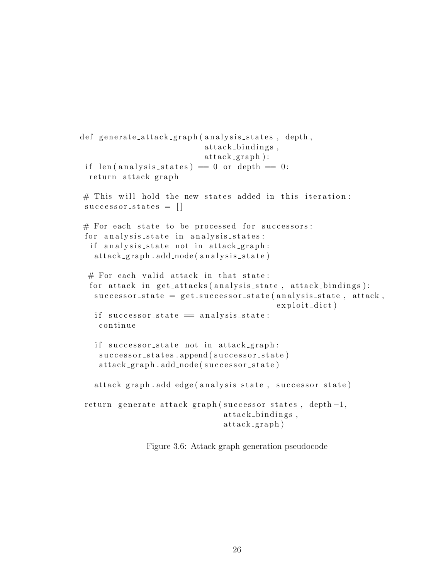```
def generate_attack_graph(analysis_states, depth,
                           attack_bindings,
                           {\rm attack\_graph} :
 if len (analysis_states) = 0 or depth = 0:
  return attack_graph
# This will hold the new states added in this iteration:
 successor\_states = []# For each state to be processed for successors:
 for analysis_state in analysis_states:
  if analysis_state not in attack_graph:
   attack\_graph.add-node(analysis\_state)# For each valid attack in that state:
  for attack in get_attacks(analysis_state, attack_bindings):
   successor\_state = get\_successor\_state (analysis\_state, attack,exploit\_dict)
   if successor_state = analysis_state:
    c o n ti n u e
   if successor_state not in attack_graph:
    successor\_states.append(successor\_state)attack_graph.add_node(successor_state)
   attack_graph.add_edge(analysis_state, successor_state)
 return generate_attack_graph (successor_states, depth -1,
                               attack_bindings,
                               {\text{attack}}graph)
```
Figure 3.6: Attack graph generation pseudocode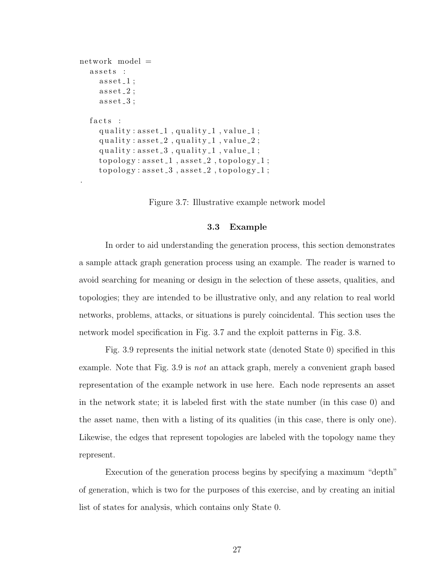```
network model =
  assets :
     \texttt{asset\_1};
     \texttt{asset-2};
     \texttt{asset-3};
  facts:
    quality: asset_1, quality-1, value-1;
    quality: asset_2, quality-1, value-2;
    quality: asset_3, quality-1, value-1;
    topology: asset_1, asset_2, topology_1;topology: asset_3, asset_2, topology_1;
```
.

Figure 3.7: Illustrative example network model

### 3.3 Example

In order to aid understanding the generation process, this section demonstrates a sample attack graph generation process using an example. The reader is warned to avoid searching for meaning or design in the selection of these assets, qualities, and topologies; they are intended to be illustrative only, and any relation to real world networks, problems, attacks, or situations is purely coincidental. This section uses the network model specification in Fig. 3.7 and the exploit patterns in Fig. 3.8.

Fig. 3.9 represents the initial network state (denoted State 0) specified in this example. Note that Fig. 3.9 is not an attack graph, merely a convenient graph based representation of the example network in use here. Each node represents an asset in the network state; it is labeled first with the state number (in this case 0) and the asset name, then with a listing of its qualities (in this case, there is only one). Likewise, the edges that represent topologies are labeled with the topology name they represent.

Execution of the generation process begins by specifying a maximum "depth" of generation, which is two for the purposes of this exercise, and by creating an initial list of states for analysis, which contains only State 0.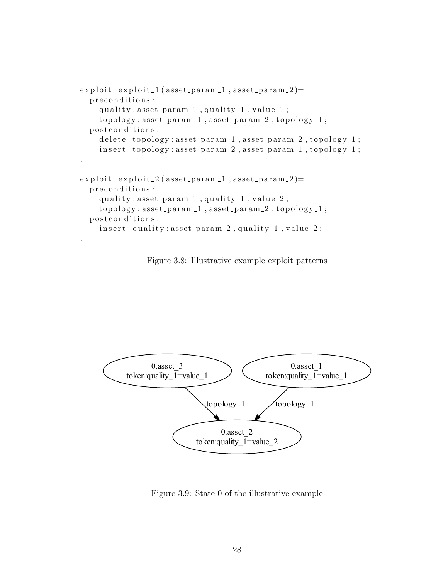```
\alpha exploit exploit 1 (asset param 1, asset param 2)=
  preconditions:
    quality: assert\_param_1, quality_1, value_1;topology: asset\_param\_1, asset\_param\_2, topology\_1;
  postconditions:
    delete topology: asset_param_1, asset_param_2, topology_1;
    insert topology: asset_param_2, asset_param_1, topology_1;
.
\alpha exploit \alpha is exploit 2 (asset param -1, asset param -2)=
  preconditions:
    quality: assert\_param_1, quality_1, value_2;topology: asset\_param\_1, asset\_param\_2, topology\_1;
  postconditions:
    insert quality: asset_param_2, quality_1, value_2;
.
```
Figure 3.8: Illustrative example exploit patterns



Figure 3.9: State 0 of the illustrative example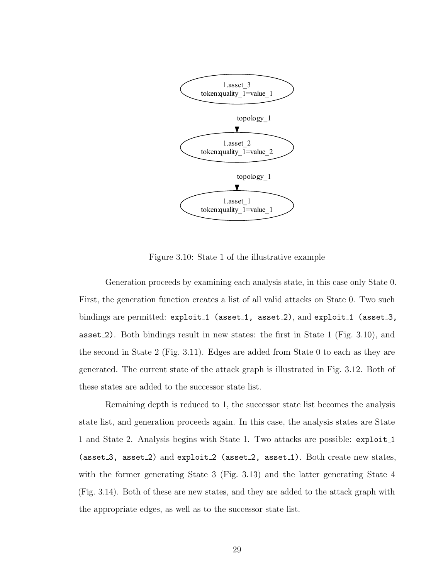

Figure 3.10: State 1 of the illustrative example

Generation proceeds by examining each analysis state, in this case only State 0. First, the generation function creates a list of all valid attacks on State 0. Two such bindings are permitted: exploit\_1 (asset\_1, asset\_2), and exploit\_1 (asset\_3, asset 2). Both bindings result in new states: the first in State 1 (Fig. 3.10), and the second in State 2 (Fig. 3.11). Edges are added from State 0 to each as they are generated. The current state of the attack graph is illustrated in Fig. 3.12. Both of these states are added to the successor state list.

Remaining depth is reduced to 1, the successor state list becomes the analysis state list, and generation proceeds again. In this case, the analysis states are State 1 and State 2. Analysis begins with State 1. Two attacks are possible: exploit 1 (asset\_3, asset\_2) and exploit\_2 (asset\_2, asset\_1). Both create new states, with the former generating State 3 (Fig. 3.13) and the latter generating State 4 (Fig. 3.14). Both of these are new states, and they are added to the attack graph with the appropriate edges, as well as to the successor state list.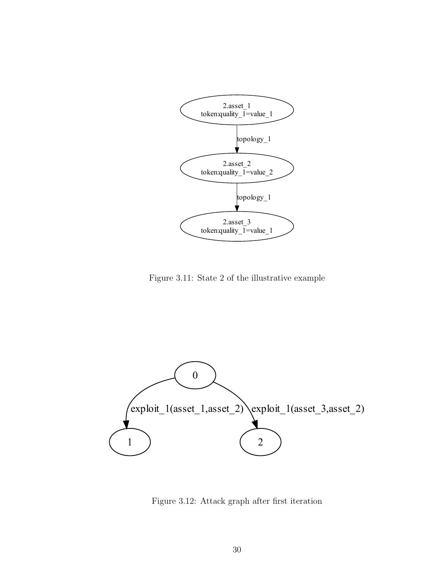

Figure 3.11: State 2 of the illustrative example



Figure 3.12: Attack graph after first iteration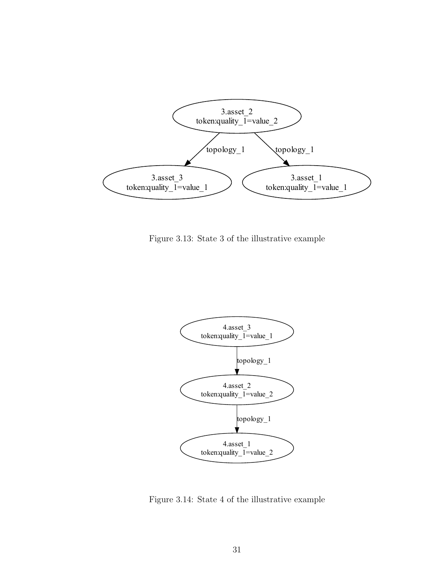

Figure 3.13: State 3 of the illustrative example



Figure 3.14: State 4 of the illustrative example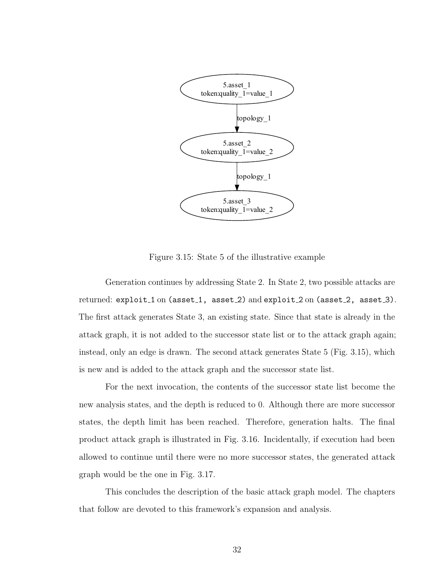

Figure 3.15: State 5 of the illustrative example

Generation continues by addressing State 2. In State 2, two possible attacks are returned: exploit\_1 on (asset\_1, asset\_2) and exploit\_2 on (asset\_2, asset\_3). The first attack generates State 3, an existing state. Since that state is already in the attack graph, it is not added to the successor state list or to the attack graph again; instead, only an edge is drawn. The second attack generates State 5 (Fig. 3.15), which is new and is added to the attack graph and the successor state list.

For the next invocation, the contents of the successor state list become the new analysis states, and the depth is reduced to 0. Although there are more successor states, the depth limit has been reached. Therefore, generation halts. The final product attack graph is illustrated in Fig. 3.16. Incidentally, if execution had been allowed to continue until there were no more successor states, the generated attack graph would be the one in Fig. 3.17.

This concludes the description of the basic attack graph model. The chapters that follow are devoted to this framework's expansion and analysis.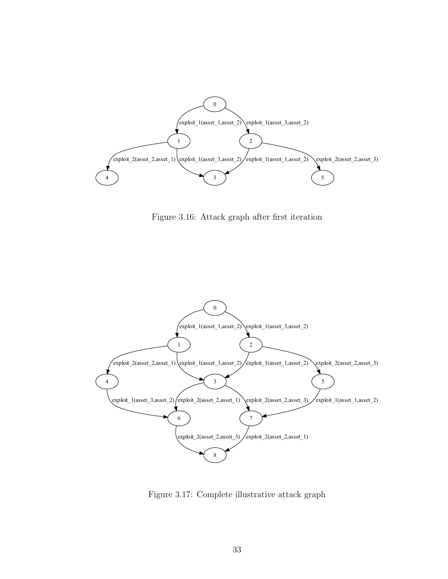

Figure 3.16: Attack graph after first iteration



Figure 3.17: Complete illustrative attack graph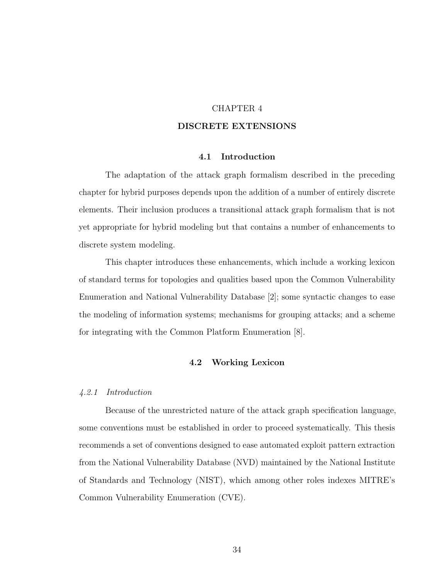# CHAPTER 4

## DISCRETE EXTENSIONS

## 4.1 Introduction

The adaptation of the attack graph formalism described in the preceding chapter for hybrid purposes depends upon the addition of a number of entirely discrete elements. Their inclusion produces a transitional attack graph formalism that is not yet appropriate for hybrid modeling but that contains a number of enhancements to discrete system modeling.

This chapter introduces these enhancements, which include a working lexicon of standard terms for topologies and qualities based upon the Common Vulnerability Enumeration and National Vulnerability Database [2]; some syntactic changes to ease the modeling of information systems; mechanisms for grouping attacks; and a scheme for integrating with the Common Platform Enumeration [8].

### 4.2 Working Lexicon

#### 4.2.1 Introduction

Because of the unrestricted nature of the attack graph specification language, some conventions must be established in order to proceed systematically. This thesis recommends a set of conventions designed to ease automated exploit pattern extraction from the National Vulnerability Database (NVD) maintained by the National Institute of Standards and Technology (NIST), which among other roles indexes MITRE's Common Vulnerability Enumeration (CVE).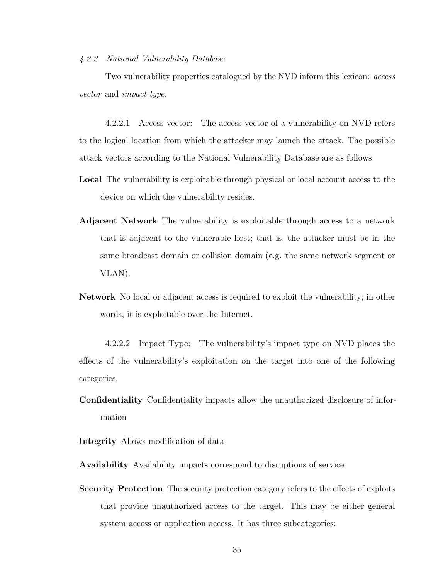#### 4.2.2 National Vulnerability Database

Two vulnerability properties catalogued by the NVD inform this lexicon: access vector and impact type.

4.2.2.1 Access vector: The access vector of a vulnerability on NVD refers to the logical location from which the attacker may launch the attack. The possible attack vectors according to the National Vulnerability Database are as follows.

- Local The vulnerability is exploitable through physical or local account access to the device on which the vulnerability resides.
- Adjacent Network The vulnerability is exploitable through access to a network that is adjacent to the vulnerable host; that is, the attacker must be in the same broadcast domain or collision domain (e.g. the same network segment or VLAN).
- Network No local or adjacent access is required to exploit the vulnerability; in other words, it is exploitable over the Internet.

4.2.2.2 Impact Type: The vulnerability's impact type on NVD places the effects of the vulnerability's exploitation on the target into one of the following categories.

Confidentiality Confidentiality impacts allow the unauthorized disclosure of information

Integrity Allows modification of data

Availability Availability impacts correspond to disruptions of service

Security Protection The security protection category refers to the effects of exploits that provide unauthorized access to the target. This may be either general system access or application access. It has three subcategories: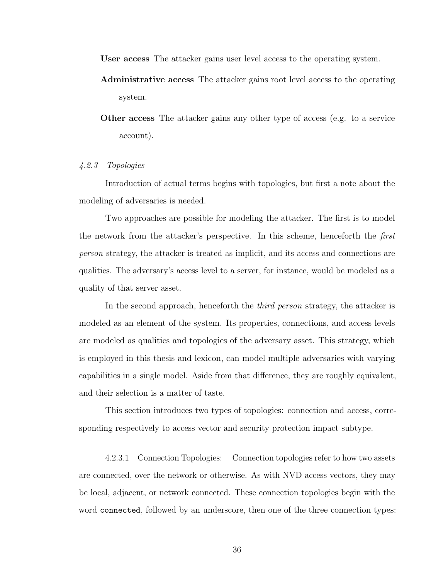User access The attacker gains user level access to the operating system.

- Administrative access The attacker gains root level access to the operating system.
- Other access The attacker gains any other type of access (e.g. to a service account).

#### 4.2.3 Topologies

Introduction of actual terms begins with topologies, but first a note about the modeling of adversaries is needed.

Two approaches are possible for modeling the attacker. The first is to model the network from the attacker's perspective. In this scheme, henceforth the first person strategy, the attacker is treated as implicit, and its access and connections are qualities. The adversary's access level to a server, for instance, would be modeled as a quality of that server asset.

In the second approach, henceforth the third person strategy, the attacker is modeled as an element of the system. Its properties, connections, and access levels are modeled as qualities and topologies of the adversary asset. This strategy, which is employed in this thesis and lexicon, can model multiple adversaries with varying capabilities in a single model. Aside from that difference, they are roughly equivalent, and their selection is a matter of taste.

This section introduces two types of topologies: connection and access, corresponding respectively to access vector and security protection impact subtype.

4.2.3.1 Connection Topologies: Connection topologies refer to how two assets are connected, over the network or otherwise. As with NVD access vectors, they may be local, adjacent, or network connected. These connection topologies begin with the word connected, followed by an underscore, then one of the three connection types: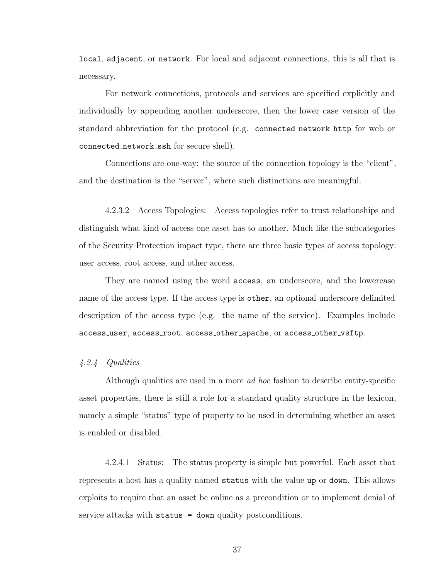local, adjacent, or network. For local and adjacent connections, this is all that is necessary.

For network connections, protocols and services are specified explicitly and individually by appending another underscore, then the lower case version of the standard abbreviation for the protocol (e.g. connected network http for web or connected network ssh for secure shell).

Connections are one-way: the source of the connection topology is the "client", and the destination is the "server", where such distinctions are meaningful.

4.2.3.2 Access Topologies: Access topologies refer to trust relationships and distinguish what kind of access one asset has to another. Much like the subcategories of the Security Protection impact type, there are three basic types of access topology: user access, root access, and other access.

They are named using the word access, an underscore, and the lowercase name of the access type. If the access type is other, an optional underscore delimited description of the access type (e.g. the name of the service). Examples include access\_user, access\_root, access\_other\_apache, or access\_other\_vsftp.

# 4.2.4 Qualities

Although qualities are used in a more *ad hoc* fashion to describe entity-specific asset properties, there is still a role for a standard quality structure in the lexicon, namely a simple "status" type of property to be used in determining whether an asset is enabled or disabled.

4.2.4.1 Status: The status property is simple but powerful. Each asset that represents a host has a quality named status with the value up or down. This allows exploits to require that an asset be online as a precondition or to implement denial of service attacks with status = down quality postconditions.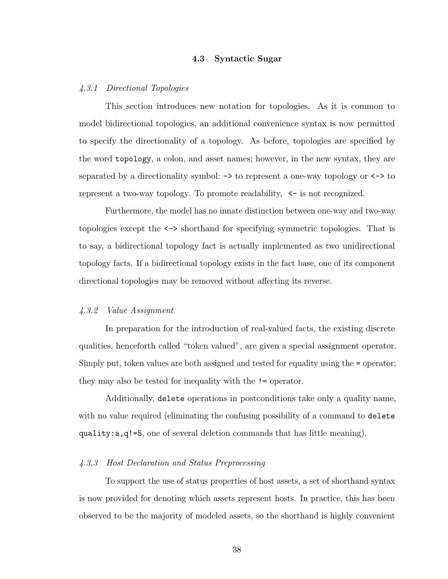### 4.3 Syntactic Sugar

## 4.3.1 Directional Topologies

This section introduces new notation for topologies. As it is common to model bidirectional topologies, an additional convenience syntax is now permitted to specify the directionality of a topology. As before, topologies are specified by the word topology, a colon, and asset names; however, in the new syntax, they are separated by a directionality symbol:  $\rightarrow$  to represent a one-way topology or  $\leftarrow$  to represent a two-way topology. To promote readability, <- is not recognized.

Furthermore, the model has no innate distinction between one-way and two-way topologies except the <-> shorthand for specifying symmetric topologies. That is to say, a bidirectional topology fact is actually implemented as two unidirectional topology facts. If a bidirectional topology exists in the fact base, one of its component directional topologies may be removed without affecting its reverse.

### 4.3.2 Value Assignment

In preparation for the introduction of real-valued facts, the existing discrete qualities, henceforth called "token valued", are given a special assignment operator. Simply put, token values are both assigned and tested for equality using the = operator; they may also be tested for inequality with the != operator.

Additionally, delete operations in postconditions take only a quality name, with no value required (eliminating the confusing possibility of a command to delete quality:a,q!=5, one of several deletion commands that has little meaning).

#### 4.3.3 Host Declaration and Status Preprocessing

To support the use of status properties of host assets, a set of shorthand syntax is now provided for denoting which assets represent hosts. In practice, this has been observed to be the majority of modeled assets, so the shorthand is highly convenient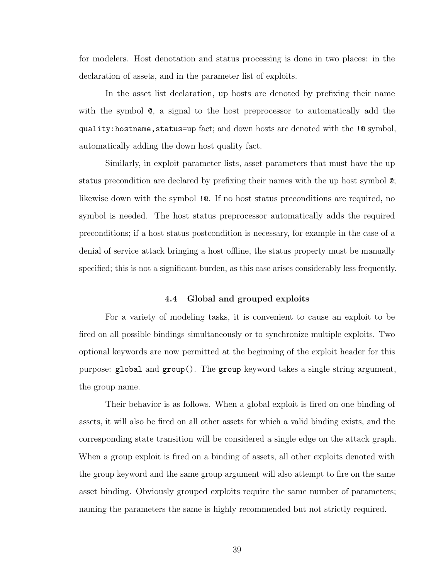for modelers. Host denotation and status processing is done in two places: in the declaration of assets, and in the parameter list of exploits.

In the asset list declaration, up hosts are denoted by prefixing their name with the symbol @, a signal to the host preprocessor to automatically add the quality:hostname,status=up fact; and down hosts are denoted with the !@ symbol, automatically adding the down host quality fact.

Similarly, in exploit parameter lists, asset parameters that must have the up status precondition are declared by prefixing their names with the up host symbol @; likewise down with the symbol  $\mathcal{Q}$ . If no host status preconditions are required, no symbol is needed. The host status preprocessor automatically adds the required preconditions; if a host status postcondition is necessary, for example in the case of a denial of service attack bringing a host offline, the status property must be manually specified; this is not a significant burden, as this case arises considerably less frequently.

#### 4.4 Global and grouped exploits

For a variety of modeling tasks, it is convenient to cause an exploit to be fired on all possible bindings simultaneously or to synchronize multiple exploits. Two optional keywords are now permitted at the beginning of the exploit header for this purpose: global and group(). The group keyword takes a single string argument, the group name.

Their behavior is as follows. When a global exploit is fired on one binding of assets, it will also be fired on all other assets for which a valid binding exists, and the corresponding state transition will be considered a single edge on the attack graph. When a group exploit is fired on a binding of assets, all other exploits denoted with the group keyword and the same group argument will also attempt to fire on the same asset binding. Obviously grouped exploits require the same number of parameters; naming the parameters the same is highly recommended but not strictly required.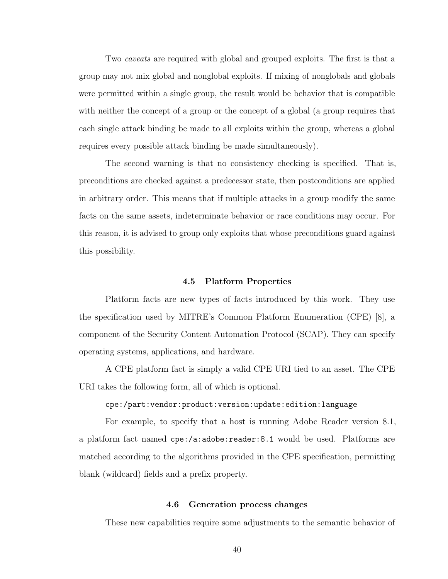Two *caveats* are required with global and grouped exploits. The first is that a group may not mix global and nonglobal exploits. If mixing of nonglobals and globals were permitted within a single group, the result would be behavior that is compatible with neither the concept of a group or the concept of a global (a group requires that each single attack binding be made to all exploits within the group, whereas a global requires every possible attack binding be made simultaneously).

The second warning is that no consistency checking is specified. That is, preconditions are checked against a predecessor state, then postconditions are applied in arbitrary order. This means that if multiple attacks in a group modify the same facts on the same assets, indeterminate behavior or race conditions may occur. For this reason, it is advised to group only exploits that whose preconditions guard against this possibility.

#### 4.5 Platform Properties

Platform facts are new types of facts introduced by this work. They use the specification used by MITRE's Common Platform Enumeration (CPE) [8], a component of the Security Content Automation Protocol (SCAP). They can specify operating systems, applications, and hardware.

A CPE platform fact is simply a valid CPE URI tied to an asset. The CPE URI takes the following form, all of which is optional.

cpe:/part:vendor:product:version:update:edition:language

For example, to specify that a host is running Adobe Reader version 8.1, a platform fact named cpe:/a:adobe:reader:8.1 would be used. Platforms are matched according to the algorithms provided in the CPE specification, permitting blank (wildcard) fields and a prefix property.

#### 4.6 Generation process changes

These new capabilities require some adjustments to the semantic behavior of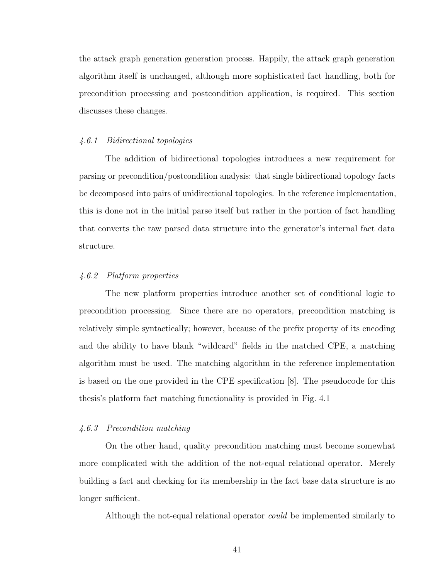the attack graph generation generation process. Happily, the attack graph generation algorithm itself is unchanged, although more sophisticated fact handling, both for precondition processing and postcondition application, is required. This section discusses these changes.

### 4.6.1 Bidirectional topologies

The addition of bidirectional topologies introduces a new requirement for parsing or precondition/postcondition analysis: that single bidirectional topology facts be decomposed into pairs of unidirectional topologies. In the reference implementation, this is done not in the initial parse itself but rather in the portion of fact handling that converts the raw parsed data structure into the generator's internal fact data structure.

# 4.6.2 Platform properties

The new platform properties introduce another set of conditional logic to precondition processing. Since there are no operators, precondition matching is relatively simple syntactically; however, because of the prefix property of its encoding and the ability to have blank "wildcard" fields in the matched CPE, a matching algorithm must be used. The matching algorithm in the reference implementation is based on the one provided in the CPE specification [8]. The pseudocode for this thesis's platform fact matching functionality is provided in Fig. 4.1

## 4.6.3 Precondition matching

On the other hand, quality precondition matching must become somewhat more complicated with the addition of the not-equal relational operator. Merely building a fact and checking for its membership in the fact base data structure is no longer sufficient.

Although the not-equal relational operator could be implemented similarly to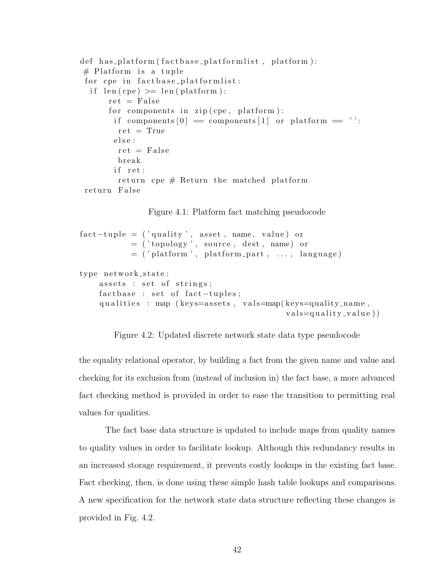```
def has_platform(factbase_platformlist, platform):
# Platform is a tuple
 for cpe in factbase_platformlist:
  if len(cpe) \geq len(plantform):
      ret = Falsefor components in zip (cpe, platform):
       if components [0] = components [1] or platform = ':
        ret = Truee l s e :
        ret = Falsebreak
       if ret:
        return cpe # Return the matched platform
return False
```
Figure 4.1: Platform fact matching pseudocode

```
fact -tuple = ('quality', asset, name, value) or
          = ('topology', source, dest, name) or
          = ('platform', platform part, ..., language)
type network_state:
    assets : set of strings;
    factors : set of fact-tuples ;qualities : map (keys=assets, vals=map(keys=quality_name,
                                           vals = quality_value)
```
Figure 4.2: Updated discrete network state data type pseudocode

the equality relational operator, by building a fact from the given name and value and checking for its exclusion from (instead of inclusion in) the fact base, a more advanced fact checking method is provided in order to ease the transition to permitting real values for qualities.

The fact base data structure is updated to include maps from quality names to quality values in order to facilitate lookup. Although this redundancy results in an increased storage requirement, it prevents costly lookups in the existing fact base. Fact checking, then, is done using these simple hash table lookups and comparisons. A new specification for the network state data structure reflecting these changes is provided in Fig. 4.2.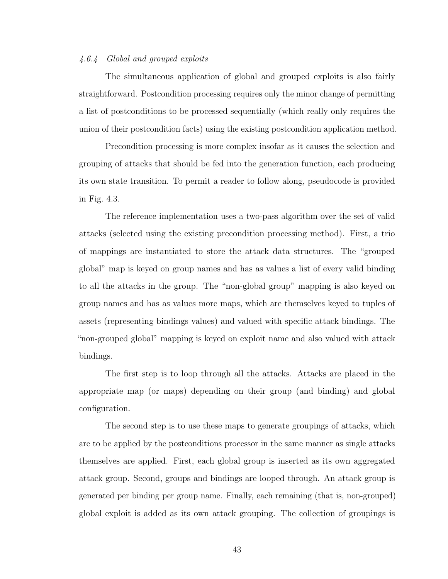## 4.6.4 Global and grouped exploits

The simultaneous application of global and grouped exploits is also fairly straightforward. Postcondition processing requires only the minor change of permitting a list of postconditions to be processed sequentially (which really only requires the union of their postcondition facts) using the existing postcondition application method.

Precondition processing is more complex insofar as it causes the selection and grouping of attacks that should be fed into the generation function, each producing its own state transition. To permit a reader to follow along, pseudocode is provided in Fig. 4.3.

The reference implementation uses a two-pass algorithm over the set of valid attacks (selected using the existing precondition processing method). First, a trio of mappings are instantiated to store the attack data structures. The "grouped global" map is keyed on group names and has as values a list of every valid binding to all the attacks in the group. The "non-global group" mapping is also keyed on group names and has as values more maps, which are themselves keyed to tuples of assets (representing bindings values) and valued with specific attack bindings. The "non-grouped global" mapping is keyed on exploit name and also valued with attack bindings.

The first step is to loop through all the attacks. Attacks are placed in the appropriate map (or maps) depending on their group (and binding) and global configuration.

The second step is to use these maps to generate groupings of attacks, which are to be applied by the postconditions processor in the same manner as single attacks themselves are applied. First, each global group is inserted as its own aggregated attack group. Second, groups and bindings are looped through. An attack group is generated per binding per group name. Finally, each remaining (that is, non-grouped) global exploit is added as its own attack grouping. The collection of groupings is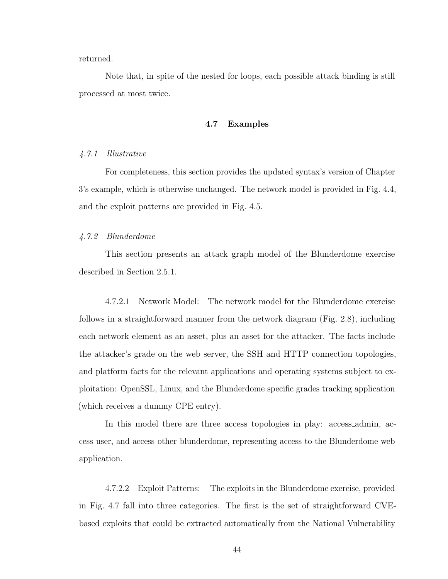returned.

Note that, in spite of the nested for loops, each possible attack binding is still processed at most twice.

# 4.7 Examples

### 4.7.1 Illustrative

For completeness, this section provides the updated syntax's version of Chapter 3's example, which is otherwise unchanged. The network model is provided in Fig. 4.4, and the exploit patterns are provided in Fig. 4.5.

#### 4.7.2 Blunderdome

This section presents an attack graph model of the Blunderdome exercise described in Section 2.5.1.

4.7.2.1 Network Model: The network model for the Blunderdome exercise follows in a straightforward manner from the network diagram (Fig. 2.8), including each network element as an asset, plus an asset for the attacker. The facts include the attacker's grade on the web server, the SSH and HTTP connection topologies, and platform facts for the relevant applications and operating systems subject to exploitation: OpenSSL, Linux, and the Blunderdome specific grades tracking application (which receives a dummy CPE entry).

In this model there are three access topologies in play: access admin, access user, and access other blunderdome, representing access to the Blunderdome web application.

4.7.2.2 Exploit Patterns: The exploits in the Blunderdome exercise, provided in Fig. 4.7 fall into three categories. The first is the set of straightforward CVEbased exploits that could be extracted automatically from the National Vulnerability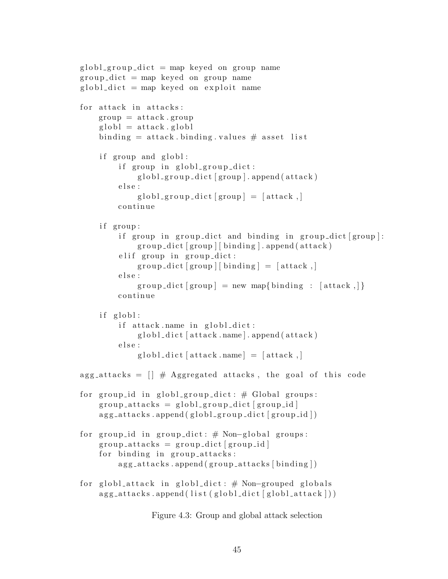```
globl_group\_dict = map keyed on group namegroup\_dict = map keyed on group name
global\_dict = map keyed on exploit name
for attack in attacks:
     group = attack.groupg \, \text{lobl} = \text{attack}}. g \, \text{lobl}binding = attack.binding.values \# asset list
     if group and globl:
          if group in globl_group_dict:
               globl_group\_dict[group].append(attack)else:g \text{lobl-group_dict} [group] = [attack,]
          c o n ti n u e
     if group:
          if group in group_dict and binding in group_dict [group]:group\_dict [group \vert [binding ]. append (attack)
          elif group in group_dict:
               group\_dict[group] [binding] = [attack],e l s e :
               group\_dict [group] = new map{binding : [attack, ]}c o n ti n u e
     if globl:
          if attack . name in globl_dict:
               g \, \text{lobl}_\text{-}\text{dict} \, [\text{attack} \, . \, \text{name} \, ] \, . \, \text{append} \, (\text{attack} \, )else :
               g \, \text{lobl}_\text{-}\text{dict} \, [\text{attack} \, \text{name}] = [\text{attack} \, \text{.}]agg_attacks = \begin{bmatrix} \end{bmatrix} # Aggregated attacks, the goal of this code
for group id in globl_group_dict: # Global groups:
     group\_attacks = glob1-group\_dict [group_id]agg_ {\text{attacks}}. append (globl_group_dict [group_id])
for group_id in group_dict: # Non-global groups:
     group\_attacks = group\_dict[group_id]for binding in group_attacks:
          agg_ {\texttt{attacks}}. append (group_attacks [binding])
for globl_attack in globl_dict: # Non-grouped globals
     agg_ {\text{attacks}. \text{append}(list (global_dict [glob1_ {\text{attask}}]))
```
Figure 4.3: Group and global attack selection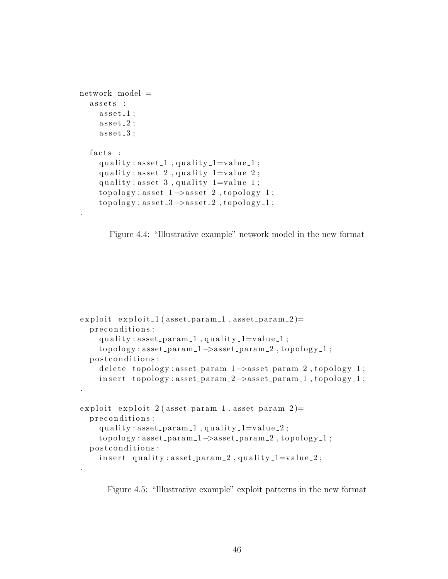```
network model =
  assets :
     \texttt{asset\_1} ;
     \texttt{asset-2}:\texttt{asset-3};
  facts:
     quality: asset\_1, quality\_1=value\_1;quality: \text{assert-2}, quality-1=value-2;
     quality: asset_3, quality-1=value_1;
     topology: asset_1 \rightarrow asset_2, topology_1;topology: asset_3 \rightarrow asset_2, topology_1;
```
.

.

Figure 4.4: "Illustrative example" network model in the new format

```
\alpha exploit exploit -1 (asset \alpha param -1, asset \alpha param -2)=
  preconditions:
    quality: assert\_param_1, quality_1=value_1;topology: asset\_param_1 \rightarrow asset\_param_2, topology_1;postconditions:
    de lete to pology : asset_param_1 \rightarrow asset_param_2, to pology_1;
    insert topology: asset\_param_2->asset\_param_1, topology_1;.
\alpha exploit \alpha is exploit 2 (asset param -1, asset param -2)=
  preconditions:
    quality: asset\_param_1, quality_1=value_2;topology: asset\_param_1 \rightarrow asset\_param_2, topology_1;postconditions:
    insert quality: asset_param_2, quality_1=value_2;
```
Figure 4.5: "Illustrative example" exploit patterns in the new format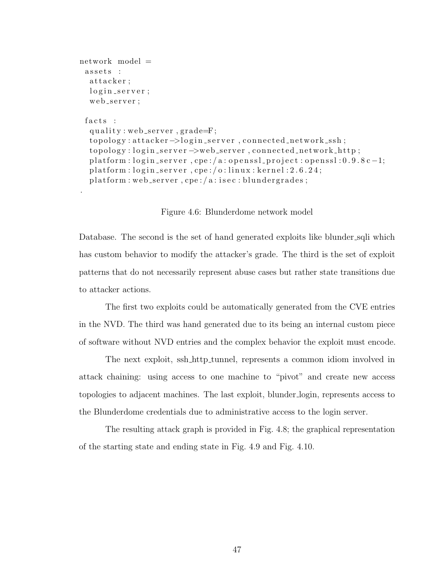```
network model =
 assets :
   attacker;
   login\_server;web_server;
 facts :
   quality: web_server, grade = F;
   topology: attacker ->login_server, connected_network_ssh;
   topology:login_server ->web_server,connected_network_http;
   \text{plafform:} \text{login-server}, \text{cpe:}/\text{a:} \text{openss1:} \text{project:} \text{openss1:} 0.9.8 \text{c}-1;\text{platform}: \text{login} \text{ } \text{.server}, \text{cpe}: \text{/} \text{o}: \text{linux}: \text{kernel}: 2.6.24;
   \text{platform}: \text{web\_server}, \text{cpe}: \text{/a}: \text{isec}: \text{blundergrades};
```
Figure 4.6: Blunderdome network model

.

Database. The second is the set of hand generated exploits like blunder sqli which has custom behavior to modify the attacker's grade. The third is the set of exploit patterns that do not necessarily represent abuse cases but rather state transitions due to attacker actions.

The first two exploits could be automatically generated from the CVE entries in the NVD. The third was hand generated due to its being an internal custom piece of software without NVD entries and the complex behavior the exploit must encode.

The next exploit, ssh http tunnel, represents a common idiom involved in attack chaining: using access to one machine to "pivot" and create new access topologies to adjacent machines. The last exploit, blunder login, represents access to the Blunderdome credentials due to administrative access to the login server.

The resulting attack graph is provided in Fig. 4.8; the graphical representation of the starting state and ending state in Fig. 4.9 and Fig. 4.10.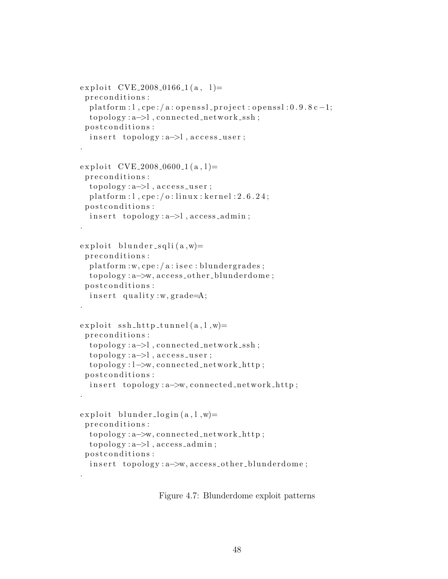```
exploit CVE_2008_0166_1(a, 1)=preconditions:
  \text{platform:} l, \text{cpe:}/\text{a:} openssl_project: openssl:0.9.8 c-1;
  topology: a \rightarrow l, connected_{network\_ssh};p o st c on ditions :
  insert topology: a->l, access_user;
.
exploit CVE_2008_0600_1(a, l)=
 preconditions:
  topology: a \rightarrow l, access_uses;
  platform: 1, cpe: / o: linux: kernel: 2.6.24;p o st c on ditions :
  insert topology: a \rightarrow l, access\_admin;.
\exploit blunder_sqli(a, w)=
 preconditions:
  \text{platform}:w, \text{cpe}: / a: \text{isec}: \text{blundergrades};topology: a \rightarrow w, access\_other\_blunderdone;p o st c on ditions :
  insert quality :w, grade=A;
.
\exploit ssh_http_tunnel(a,l,w)=
 preconditions:
  topology: a \rightarrow l, connected_{network\_ssh};topology: a \rightarrow l, access_user;topology: l \rightarrow w, connected\_network\_http;p o st c on ditions :
  insert topology: a \rightarrow w, connected_{network\_http;.
\exploit blunder_login(a, l, w)=
 preconditions:
  topology: a \rightarrow w, connected_{\text{network}\_\text{http://n.001})}topology: a \rightarrow l, access\_admin;p o st c on ditions :
  insert topology: a->w, access_other_blunderdome;
.
```
Figure 4.7: Blunderdome exploit patterns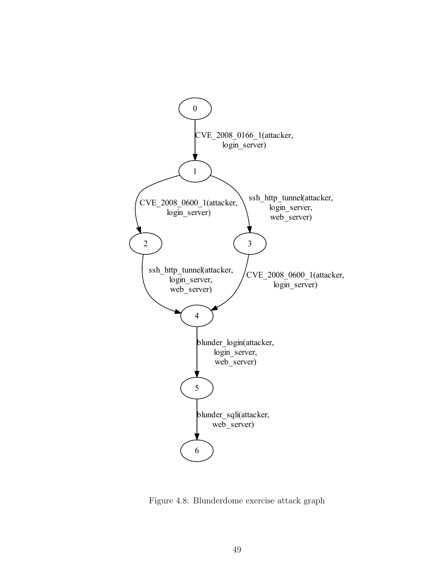

Figure 4.8: Blunderdome exercise attack graph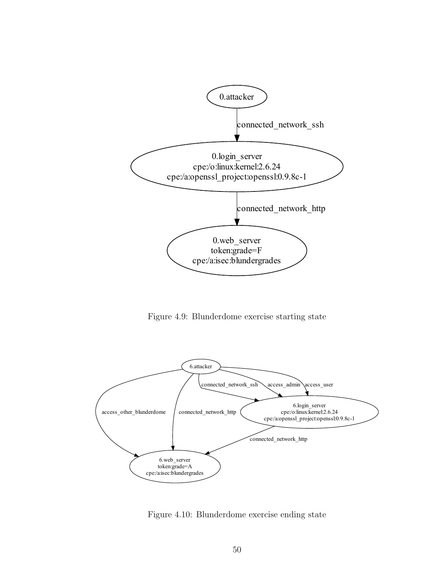

Figure 4.9: Blunderdome exercise starting state



Figure 4.10: Blunderdome exercise ending state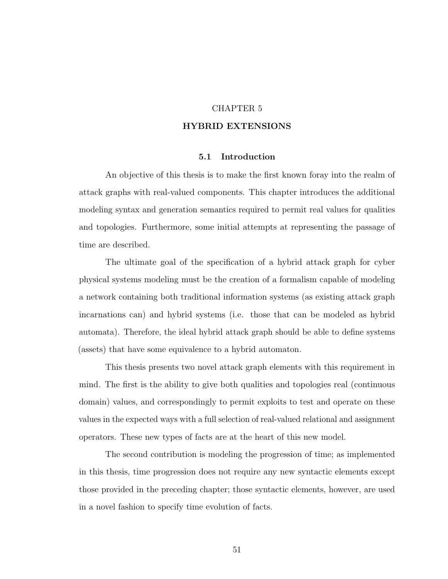# CHAPTER 5

## HYBRID EXTENSIONS

## 5.1 Introduction

An objective of this thesis is to make the first known foray into the realm of attack graphs with real-valued components. This chapter introduces the additional modeling syntax and generation semantics required to permit real values for qualities and topologies. Furthermore, some initial attempts at representing the passage of time are described.

The ultimate goal of the specification of a hybrid attack graph for cyber physical systems modeling must be the creation of a formalism capable of modeling a network containing both traditional information systems (as existing attack graph incarnations can) and hybrid systems (i.e. those that can be modeled as hybrid automata). Therefore, the ideal hybrid attack graph should be able to define systems (assets) that have some equivalence to a hybrid automaton.

This thesis presents two novel attack graph elements with this requirement in mind. The first is the ability to give both qualities and topologies real (continuous domain) values, and correspondingly to permit exploits to test and operate on these values in the expected ways with a full selection of real-valued relational and assignment operators. These new types of facts are at the heart of this new model.

The second contribution is modeling the progression of time; as implemented in this thesis, time progression does not require any new syntactic elements except those provided in the preceding chapter; those syntactic elements, however, are used in a novel fashion to specify time evolution of facts.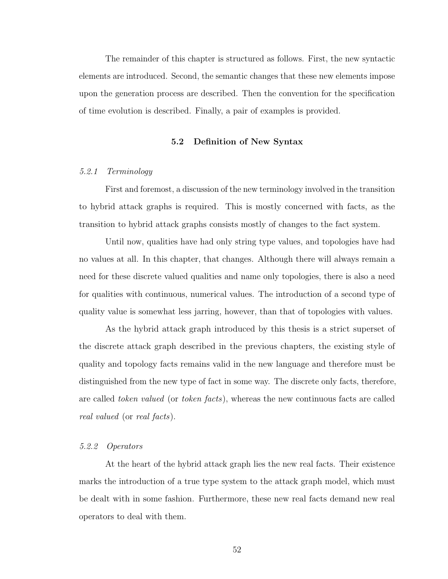The remainder of this chapter is structured as follows. First, the new syntactic elements are introduced. Second, the semantic changes that these new elements impose upon the generation process are described. Then the convention for the specification of time evolution is described. Finally, a pair of examples is provided.

# 5.2 Definition of New Syntax

### 5.2.1 Terminology

First and foremost, a discussion of the new terminology involved in the transition to hybrid attack graphs is required. This is mostly concerned with facts, as the transition to hybrid attack graphs consists mostly of changes to the fact system.

Until now, qualities have had only string type values, and topologies have had no values at all. In this chapter, that changes. Although there will always remain a need for these discrete valued qualities and name only topologies, there is also a need for qualities with continuous, numerical values. The introduction of a second type of quality value is somewhat less jarring, however, than that of topologies with values.

As the hybrid attack graph introduced by this thesis is a strict superset of the discrete attack graph described in the previous chapters, the existing style of quality and topology facts remains valid in the new language and therefore must be distinguished from the new type of fact in some way. The discrete only facts, therefore, are called token valued (or token facts), whereas the new continuous facts are called real valued (or real facts).

# 5.2.2 Operators

At the heart of the hybrid attack graph lies the new real facts. Their existence marks the introduction of a true type system to the attack graph model, which must be dealt with in some fashion. Furthermore, these new real facts demand new real operators to deal with them.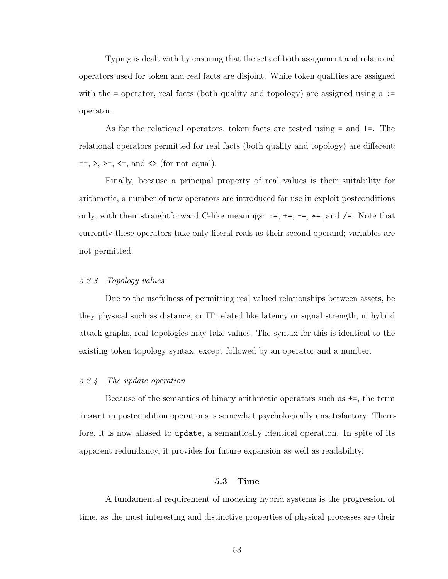Typing is dealt with by ensuring that the sets of both assignment and relational operators used for token and real facts are disjoint. While token qualities are assigned with the  $=$  operator, real facts (both quality and topology) are assigned using a  $:=$ operator.

As for the relational operators, token facts are tested using = and !=. The relational operators permitted for real facts (both quality and topology) are different:  $==, >, >=, \Leftarrow, \text{ and} <>(for not equal).$ 

Finally, because a principal property of real values is their suitability for arithmetic, a number of new operators are introduced for use in exploit postconditions only, with their straightforward C-like meanings: :=, +=, -=,  $\ast$ =, and /=. Note that currently these operators take only literal reals as their second operand; variables are not permitted.

### 5.2.3 Topology values

Due to the usefulness of permitting real valued relationships between assets, be they physical such as distance, or IT related like latency or signal strength, in hybrid attack graphs, real topologies may take values. The syntax for this is identical to the existing token topology syntax, except followed by an operator and a number.

#### 5.2.4 The update operation

Because of the semantics of binary arithmetic operators such as +=, the term insert in postcondition operations is somewhat psychologically unsatisfactory. Therefore, it is now aliased to update, a semantically identical operation. In spite of its apparent redundancy, it provides for future expansion as well as readability.

#### 5.3 Time

A fundamental requirement of modeling hybrid systems is the progression of time, as the most interesting and distinctive properties of physical processes are their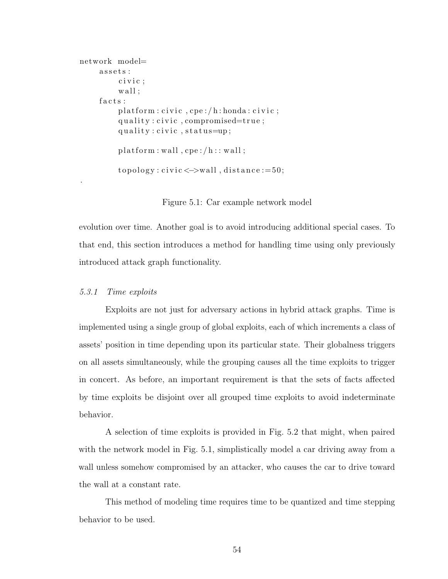```
network model=
      assets:
             c i v i c ;
             w all ;
      facts:
             \text{platform:} \text{civic}, \text{cpe:}/\text{h:} \text{honda:} \text{civic};quality: civic, compromised=true;
             quality: civic, status = up;
             \text{platform}: \text{wall}, \text{cpe}: / \text{h}: : \text{wall};topology: civic \le y all, distance := 50;
```
Figure 5.1: Car example network model

evolution over time. Another goal is to avoid introducing additional special cases. To that end, this section introduces a method for handling time using only previously introduced attack graph functionality.

## 5.3.1 Time exploits

.

Exploits are not just for adversary actions in hybrid attack graphs. Time is implemented using a single group of global exploits, each of which increments a class of assets' position in time depending upon its particular state. Their globalness triggers on all assets simultaneously, while the grouping causes all the time exploits to trigger in concert. As before, an important requirement is that the sets of facts affected by time exploits be disjoint over all grouped time exploits to avoid indeterminate behavior.

A selection of time exploits is provided in Fig. 5.2 that might, when paired with the network model in Fig. 5.1, simplistically model a car driving away from a wall unless somehow compromised by an attacker, who causes the car to drive toward the wall at a constant rate.

This method of modeling time requires time to be quantized and time stepping behavior to be used.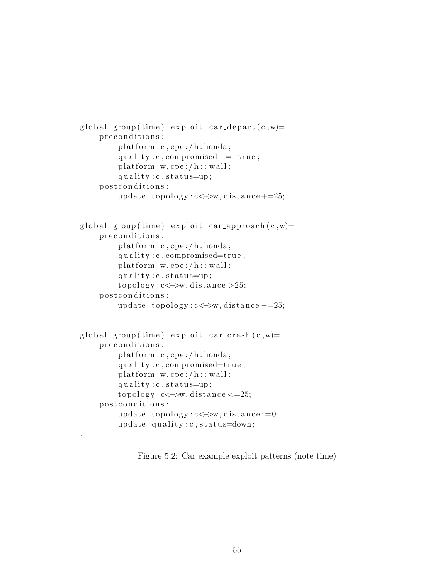```
global group (time) exploit car_depart (c, w)=
     preconditions:
          \text{platform}:c, \text{cpe}:/\text{h}: \text{honda};quality: c, compromised != true;
          \text{platform}:w, \text{cpe}: / h::wall;quality: c, status=up;
     p o st c on ditions :
          update topology: c \leq ->w, distance +=25;
.
global group (time) exploit car\_approach(c, w) =preconditions:
          \text{platform}:c, \text{cpe}:/\text{h}: \text{honda};quality: c, commromised=true;\text{platform}:w, \text{cpe}: / h::wall;quality: c, status=up;
          topology: c \le y, distance > 25;p o st c on ditions :
          update topology: c \le y, distance -z5;
.
global group (time) exploit car\_crash(c, w)=
     preconditions:
          \text{platform}:c, \text{cpe}:/\text{h}: \text{honda};quality: c, compromised=true;
          \text{platform}:w, \text{cpe}: / h::wall;quality: c, status=up;
          topology: c \le y, distance \le 25;p o st c on ditions :
          update topology: c \le y, distance:=0;
          update quality: c, status=down;
```
.

Figure 5.2: Car example exploit patterns (note time)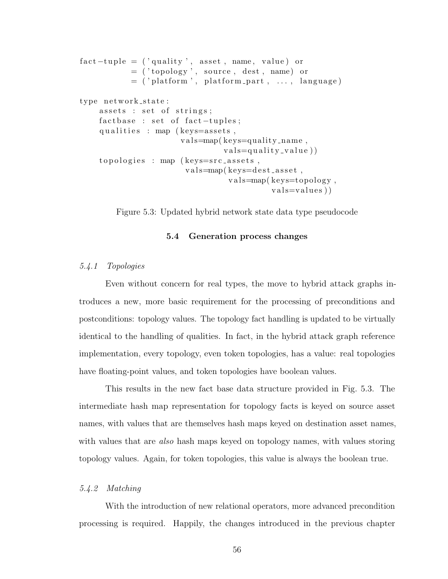```
fact -tuple = ('quality', asset, name, value) or
           = ('topology', source, dest, name) or
           = ('platform', platform_part, ..., language)
type network_state:
    assets : set of strings;
    factors : set of fact-tuples ;qualities : map (keys=assets,
                      v als=map(keys=quality_name,
                               vals = q uality_value)topologies : map (keys=src_assets,
                       vals = map(keys = dest\_asset,vals = map(keys = topology,vals = values)
```
Figure 5.3: Updated hybrid network state data type pseudocode

### 5.4 Generation process changes

### 5.4.1 Topologies

Even without concern for real types, the move to hybrid attack graphs introduces a new, more basic requirement for the processing of preconditions and postconditions: topology values. The topology fact handling is updated to be virtually identical to the handling of qualities. In fact, in the hybrid attack graph reference implementation, every topology, even token topologies, has a value: real topologies have floating-point values, and token topologies have boolean values.

This results in the new fact base data structure provided in Fig. 5.3. The intermediate hash map representation for topology facts is keyed on source asset names, with values that are themselves hash maps keyed on destination asset names, with values that are *also* hash maps keyed on topology names, with values storing topology values. Again, for token topologies, this value is always the boolean true.

### 5.4.2 Matching

With the introduction of new relational operators, more advanced precondition processing is required. Happily, the changes introduced in the previous chapter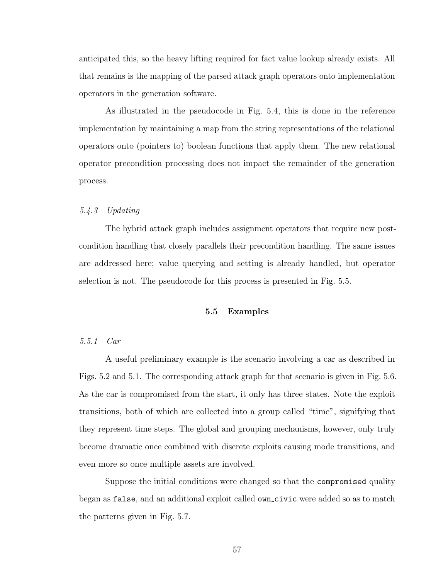anticipated this, so the heavy lifting required for fact value lookup already exists. All that remains is the mapping of the parsed attack graph operators onto implementation operators in the generation software.

As illustrated in the pseudocode in Fig. 5.4, this is done in the reference implementation by maintaining a map from the string representations of the relational operators onto (pointers to) boolean functions that apply them. The new relational operator precondition processing does not impact the remainder of the generation process.

# 5.4.3 Updating

The hybrid attack graph includes assignment operators that require new postcondition handling that closely parallels their precondition handling. The same issues are addressed here; value querying and setting is already handled, but operator selection is not. The pseudocode for this process is presented in Fig. 5.5.

### 5.5 Examples

## 5.5.1 Car

A useful preliminary example is the scenario involving a car as described in Figs. 5.2 and 5.1. The corresponding attack graph for that scenario is given in Fig. 5.6. As the car is compromised from the start, it only has three states. Note the exploit transitions, both of which are collected into a group called "time", signifying that they represent time steps. The global and grouping mechanisms, however, only truly become dramatic once combined with discrete exploits causing mode transitions, and even more so once multiple assets are involved.

Suppose the initial conditions were changed so that the compromised quality began as false, and an additional exploit called own civic were added so as to match the patterns given in Fig. 5.7.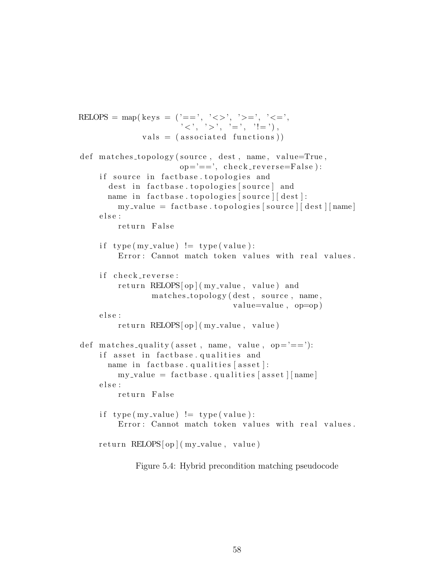```
RELOPS = map(keys = ('==', '<>', '>=', '<=',
                          \langle \cdot, \cdot \rangle , \langle \cdot, \cdot \rangle , \langle \cdot, \cdot \rangle , \langle \cdot, \cdot \rangle , \langle \cdot, \cdot \rangle , \langle \cdot, \cdot \ranglevals = (associated functions))def matches_topology(source, dest, name, value=True,
                          op='==, check_reverse=False):
     if source in factbase.topologies and
       dest in factbase.topologies [source] and
       name in factbase.topologies [source] [dest]:
          my_value = fact base-topologies [source] [dest] [name]e l s e :
          return False
     if type(my_value) := type(value):
          Error: Cannot match token values with real values.
     if check_reverse:
          return RELOPS[op](my_value, value) and
                   matches_topology(dest, source, name,
                                        value = value, op = op)e l s e :
          return RELOPS[op](my_value, value)
def matches_quality (asset, name, value, op='=-):
     if asset in factbase. qualities and
       name in factbase.qualities \lceil \text{asset} \rceil:
          my_value = factbase. qualities [asset] [name]e l s e :
          return False
     if type(my_value) := type(value):
          Error: Cannot match token values with real values.
     return RELOPS[op] (my_value, value)
```
Figure 5.4: Hybrid precondition matching pseudocode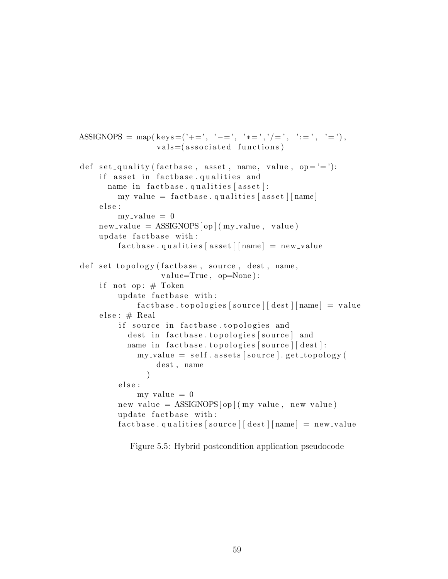```
ASSIGNOPS = map(\text{keys} = (' += ', '--', '*=', ' |= ', '':= ', '=='),
                  vals = (associated functions)def set_quality (factbase, asset, name, value, op = ' = '):if asset in factbase. qualities and
      name in factbase.qualities [asset]:
         my_value = factbase. qualities [asset] [name]e l s e :
         my_value = 0new_value = ASSIGNOPS[op] (my_value, value)update factbase with:
         factors. qualities [asset | \cdot | name] = new_value
def set_topology(factbase, source, dest, name,
                   value = True, op = None:
    if not op: # Token
         update factbase with:
             fact base : topologies [source] [dest] [name] = valueelse: # Realif source in factbase topologies and
           dest in factbase topologies [source] and
           name in factbase.topologies [source] [dest]:
             my_value = self. assets[source].get-topology(dest, name
               )
         e l s e :
             my_value = 0new_value = ASSIGNOPS[op] (my_value, new_value)update factbase with:
         factors. qualities \lceil source \rceil dest \lceil name \rceil = new value
```
Figure 5.5: Hybrid postcondition application pseudocode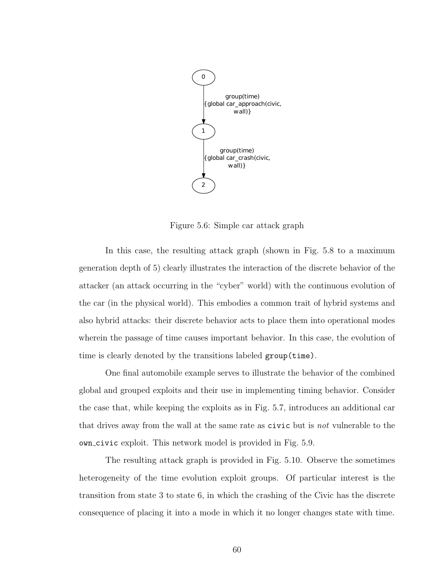

Figure 5.6: Simple car attack graph

In this case, the resulting attack graph (shown in Fig. 5.8 to a maximum generation depth of 5) clearly illustrates the interaction of the discrete behavior of the attacker (an attack occurring in the "cyber" world) with the continuous evolution of the car (in the physical world). This embodies a common trait of hybrid systems and also hybrid attacks: their discrete behavior acts to place them into operational modes wherein the passage of time causes important behavior. In this case, the evolution of time is clearly denoted by the transitions labeled group(time).

One final automobile example serves to illustrate the behavior of the combined global and grouped exploits and their use in implementing timing behavior. Consider the case that, while keeping the exploits as in Fig. 5.7, introduces an additional car that drives away from the wall at the same rate as civic but is *not* vulnerable to the own civic exploit. This network model is provided in Fig. 5.9.

The resulting attack graph is provided in Fig. 5.10. Observe the sometimes heterogeneity of the time evolution exploit groups. Of particular interest is the transition from state 3 to state 6, in which the crashing of the Civic has the discrete consequence of placing it into a mode in which it no longer changes state with time.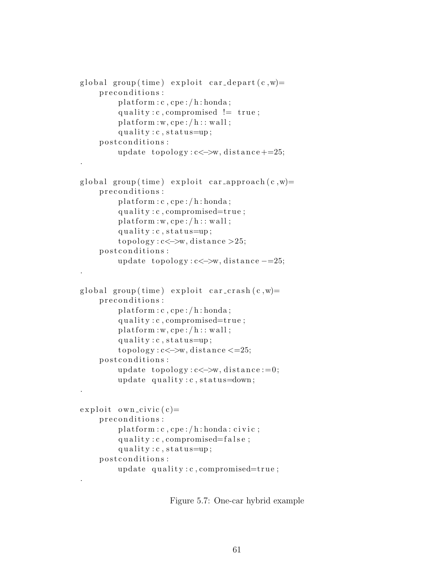```
global group (time) exploit car_depart (c, w)=
     preconditions:
          \text{platform}:c, \text{cpe}:/\text{h}: \text{honda};quality: c, compromised != true;
           \text{platform}:w, \text{cpe}: / h:: \text{wall};quality: c, status=up;
     postconditions:
          update topology: c \leq \ggw, distance +=25;
```
.

.

.

.

```
global group (time) exploit car_approach (c, w)=
     preconditions:
          \text{platform}:c, \text{cpe}:/\text{h}: \text{honda};quality: c, computed=true;\text{platform}:w, \text{cpe}: / h::wall;quality: c, status=up;
          topology: c \le y, distance > 25;postconditions:
          update topology: c \le y, distance -z5;
```

```
global group (time) exploit car\_crash(c, w) =preconditions:
          \text{platform}:c, \text{cpe}:/\text{h}: \text{honda};quality: c, commromised=true;\text{platform}:w, \text{cpe}: / h::wall;quality: c, status=up;
          topology: c \le y, distance \le 25;postconditions:
          update to pology : c \leq \ggw, distance := 0;
          update quality: c, status=down;
```

```
\exp l \cdot \text{o} w \cdot n \cdot \text{c} i \cdot v \cdot (c) =preconditions:
            \text{platform}:c, \text{cpe}:/\text{h}: \text{honda}: \text{civic};quality: c, compromised=false;
            quality: c, status=up;
      postconditions:
            update quality : c, compromised=true;
```
Figure 5.7: One-car hybrid example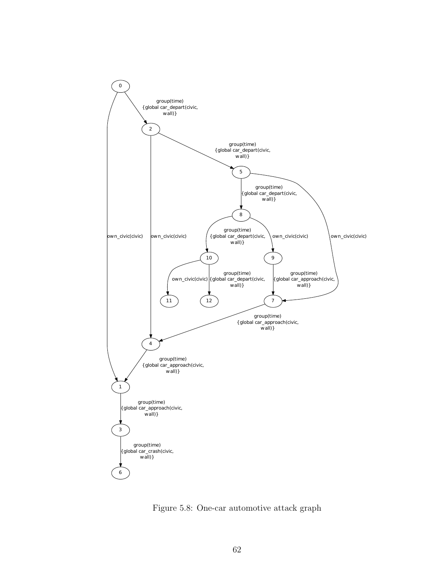

Figure 5.8: One-car automotive attack graph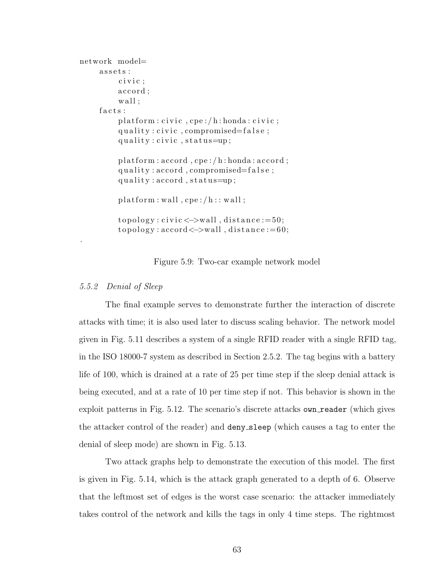```
network model=
      assets:
            c i v i c ;
            accord;
            w all ;
      facts:
            \text{platform:} \text{civic}, \text{cpe:}/\text{h:} \text{honda:} \text{civic};quality: c ivic, compromised=false;
            quality: c ivic, status=up;
            \text{platform}: \text{accord}, \text{cpe}: \text{/h}: \text{honda}: \text{accord};quality: accord, compromised = false;
            quality: accord, status=up;
            \text{platform}: \text{wall}, \text{cpe}: / \text{h}: : \text{wall};topology: civic \le y ; distance := 50;
            topology: accord<->wall, distance := 60;
```
Figure 5.9: Two-car example network model

### 5.5.2 Denial of Sleep

.

The final example serves to demonstrate further the interaction of discrete attacks with time; it is also used later to discuss scaling behavior. The network model given in Fig. 5.11 describes a system of a single RFID reader with a single RFID tag, in the ISO 18000-7 system as described in Section 2.5.2. The tag begins with a battery life of 100, which is drained at a rate of 25 per time step if the sleep denial attack is being executed, and at a rate of 10 per time step if not. This behavior is shown in the exploit patterns in Fig. 5.12. The scenario's discrete attacks own reader (which gives the attacker control of the reader) and deny sleep (which causes a tag to enter the denial of sleep mode) are shown in Fig. 5.13.

Two attack graphs help to demonstrate the execution of this model. The first is given in Fig. 5.14, which is the attack graph generated to a depth of 6. Observe that the leftmost set of edges is the worst case scenario: the attacker immediately takes control of the network and kills the tags in only 4 time steps. The rightmost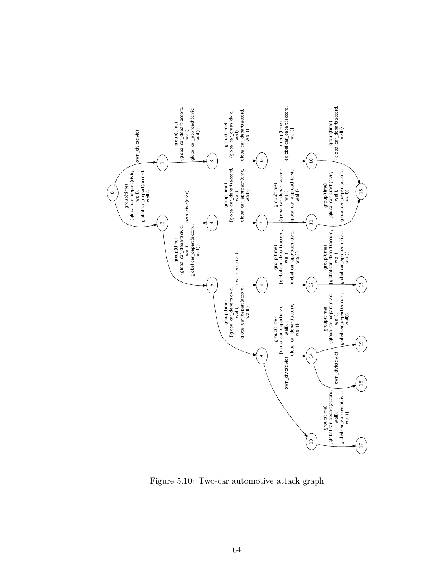

Figure 5.10: Two-car automotive attack graph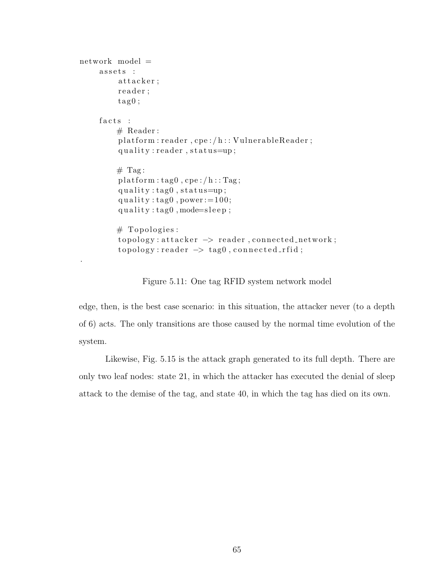```
network model =
     assets :
         attacker;
         reader;
         tag 0;facts :
         # Reader :
         \text{platform:reader}, \text{cpe:}/\text{h::VulnerableReader};quality: reader, status=up;
         # Tag:
         platform : tag0, cpe : /h : : Tag;
         quality:tag0, status=up;
         quality:tag0, power := 100;quality: tag0, mode=sleep;# Topologies:
         topology:attacker \rightarrow reader, connected.network;topology: reader \rightarrow tag0, connected\_rfid;
```
.

Figure 5.11: One tag RFID system network model

edge, then, is the best case scenario: in this situation, the attacker never (to a depth of 6) acts. The only transitions are those caused by the normal time evolution of the system.

Likewise, Fig. 5.15 is the attack graph generated to its full depth. There are only two leaf nodes: state 21, in which the attacker has executed the denial of sleep attack to the demise of the tag, and state 40, in which the tag has died on its own.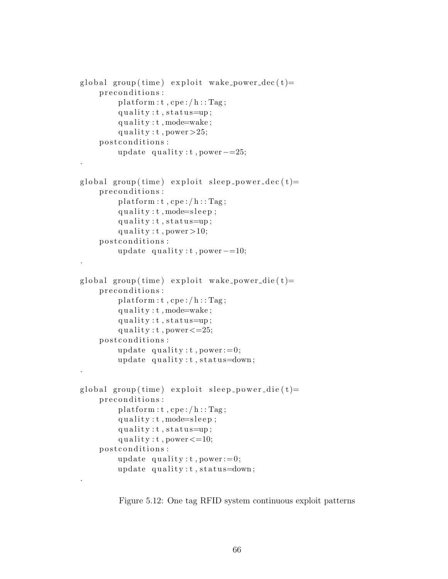```
global group (time) exploit wake_power_dec (t)=preconditions:
          \text{platform}: t, \text{cpe}: / h::\text{Tag};quality: t, status=up;quality: t, mode=wake;
          quality: t, power > 25;
     postconditions:
          update quality : t, power-=25;
.
global group (time) exploit sleep-power-dec (t)=
     preconditions:
          \text{platform}: t, \text{cpe}: / h::\text{Tag};quality: t, mode = sleep;quality: t, status=up;
          quality: t, power >10;
     p o st c on ditions :
          update quality: t, power-=10;
.
global group (time) exploit wake_power_die (t)=preconditions:
          \text{platform}: t, \text{cpe}: / h::\text{Tag};quality: t, mode=wake;
          quality: t, status=up;
          quality: t, power \leq=25;
     p o st c on ditions :
          update quality: t, power : = 0;
          update quality: t, status=down;
.
global group (time) exploit sleep_power_die (t)=preconditions:
          \text{platform}: t, \text{cpe}: / h::\text{Tag};quality: t, mode = sleep;quality: t, status=up;quality: t, power \leq=10;
     p o st c on ditions :
          update quality: t, power : = 0;
          update quality: t, status=down;
```
.

Figure 5.12: One tag RFID system continuous exploit patterns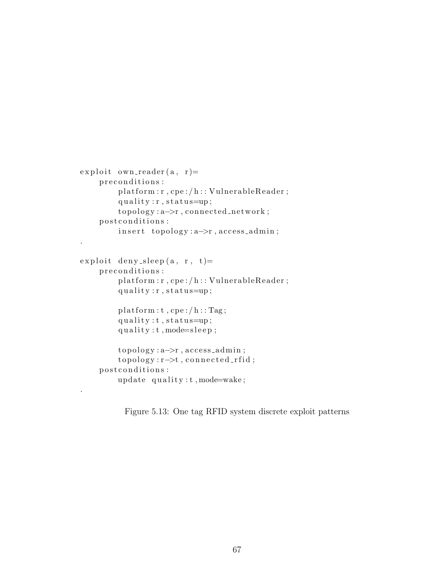```
\exp l \cdot i \cdot \text{own\_reader (a, r)} =preconditions:
          platform: r, cpe://h::VulnerableReader;quality: r, status=up;topology: a \rightarrow r, connected_{network};p o st c on ditions :
          insert topology: a \rightarrow r, access\_admin;.
\exploit deny_sleep(a, r, t)=
     preconditions:
          \text{platform}:r, \text{cpe}:/\text{h}:V\text{ulnerableReader};quality: r, status=up;\text{platform}: t, \text{cpe}: / h::\text{Tag};quality: t, status=up;quality: t, mode = sleep;topology: a \rightarrow r, access\_admin;topology: r->t, connected_rfid;
```
update  $quality: t$ , mode=wake;

```
p o st c on ditions :
```
.

Figure 5.13: One tag RFID system discrete exploit patterns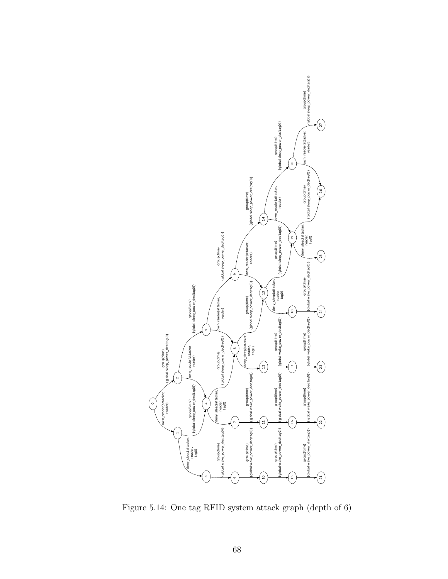

Figure 5.14: One tag RFID system attack graph (depth of 6)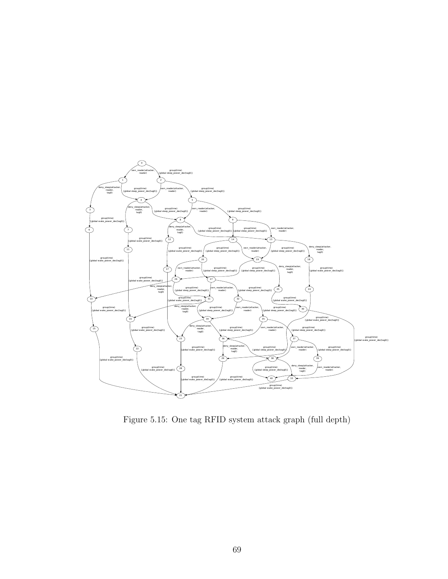

Figure 5.15: One tag RFID system attack graph (full depth)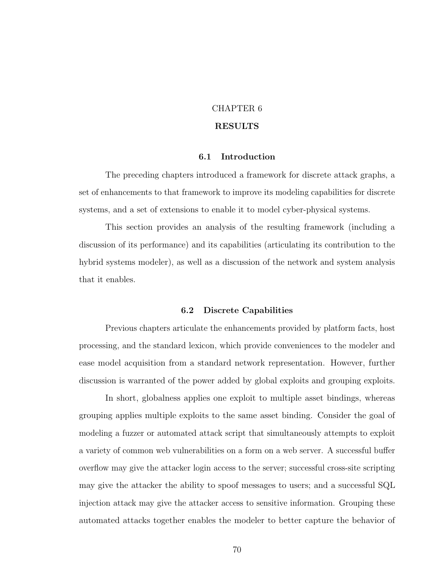## CHAPTER 6

## RESULTS

### 6.1 Introduction

The preceding chapters introduced a framework for discrete attack graphs, a set of enhancements to that framework to improve its modeling capabilities for discrete systems, and a set of extensions to enable it to model cyber-physical systems.

This section provides an analysis of the resulting framework (including a discussion of its performance) and its capabilities (articulating its contribution to the hybrid systems modeler), as well as a discussion of the network and system analysis that it enables.

#### 6.2 Discrete Capabilities

Previous chapters articulate the enhancements provided by platform facts, host processing, and the standard lexicon, which provide conveniences to the modeler and ease model acquisition from a standard network representation. However, further discussion is warranted of the power added by global exploits and grouping exploits.

In short, globalness applies one exploit to multiple asset bindings, whereas grouping applies multiple exploits to the same asset binding. Consider the goal of modeling a fuzzer or automated attack script that simultaneously attempts to exploit a variety of common web vulnerabilities on a form on a web server. A successful buffer overflow may give the attacker login access to the server; successful cross-site scripting may give the attacker the ability to spoof messages to users; and a successful SQL injection attack may give the attacker access to sensitive information. Grouping these automated attacks together enables the modeler to better capture the behavior of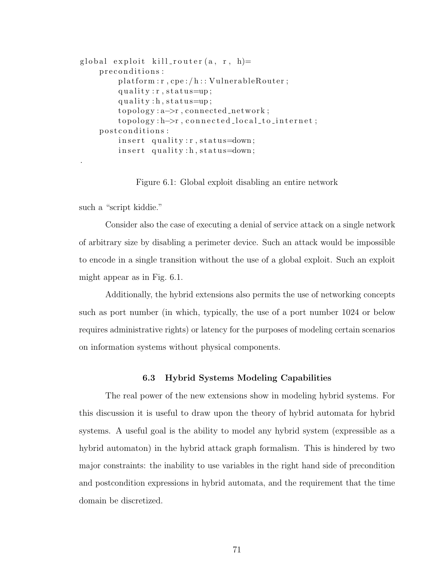```
global exploit kill_router(a, r, h)=
    preconditions:
          \text{platform}:r, \text{cpe}:/\text{h}:V\text{ulnerableRouter};quality: r, status=up;
          quality: h, status=up;topology: a \rightarrow r, connected_{network};topology: h \rightarrow r, connected\_local\_to\_internet;postconditions:
          insert quality: r, status=down;
          insert quality:h, status=down;
```
Figure 6.1: Global exploit disabling an entire network

such a "script kiddie."

.

Consider also the case of executing a denial of service attack on a single network of arbitrary size by disabling a perimeter device. Such an attack would be impossible to encode in a single transition without the use of a global exploit. Such an exploit might appear as in Fig. 6.1.

Additionally, the hybrid extensions also permits the use of networking concepts such as port number (in which, typically, the use of a port number 1024 or below requires administrative rights) or latency for the purposes of modeling certain scenarios on information systems without physical components.

### 6.3 Hybrid Systems Modeling Capabilities

The real power of the new extensions show in modeling hybrid systems. For this discussion it is useful to draw upon the theory of hybrid automata for hybrid systems. A useful goal is the ability to model any hybrid system (expressible as a hybrid automaton) in the hybrid attack graph formalism. This is hindered by two major constraints: the inability to use variables in the right hand side of precondition and postcondition expressions in hybrid automata, and the requirement that the time domain be discretized.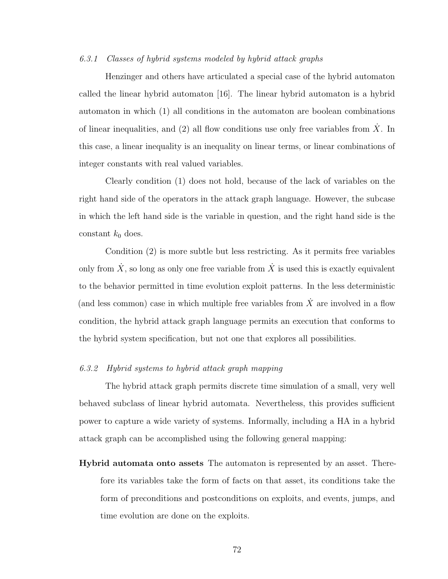#### 6.3.1 Classes of hybrid systems modeled by hybrid attack graphs

Henzinger and others have articulated a special case of the hybrid automaton called the linear hybrid automaton [16]. The linear hybrid automaton is a hybrid automaton in which (1) all conditions in the automaton are boolean combinations of linear inequalities, and (2) all flow conditions use only free variables from  $\dot{X}$ . In this case, a linear inequality is an inequality on linear terms, or linear combinations of integer constants with real valued variables.

Clearly condition (1) does not hold, because of the lack of variables on the right hand side of the operators in the attack graph language. However, the subcase in which the left hand side is the variable in question, and the right hand side is the constant  $k_0$  does.

Condition (2) is more subtle but less restricting. As it permits free variables only from  $\dot{X}$ , so long as only one free variable from  $\dot{X}$  is used this is exactly equivalent to the behavior permitted in time evolution exploit patterns. In the less deterministic (and less common) case in which multiple free variables from  $\dot{X}$  are involved in a flow condition, the hybrid attack graph language permits an execution that conforms to the hybrid system specification, but not one that explores all possibilities.

### 6.3.2 Hybrid systems to hybrid attack graph mapping

The hybrid attack graph permits discrete time simulation of a small, very well behaved subclass of linear hybrid automata. Nevertheless, this provides sufficient power to capture a wide variety of systems. Informally, including a HA in a hybrid attack graph can be accomplished using the following general mapping:

Hybrid automata onto assets The automaton is represented by an asset. Therefore its variables take the form of facts on that asset, its conditions take the form of preconditions and postconditions on exploits, and events, jumps, and time evolution are done on the exploits.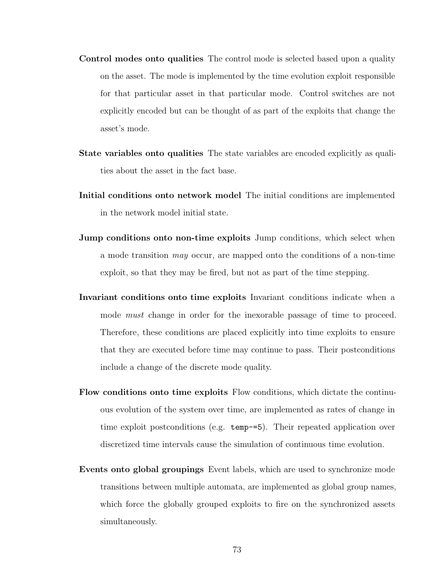- Control modes onto qualities The control mode is selected based upon a quality on the asset. The mode is implemented by the time evolution exploit responsible for that particular asset in that particular mode. Control switches are not explicitly encoded but can be thought of as part of the exploits that change the asset's mode.
- State variables onto qualities The state variables are encoded explicitly as qualities about the asset in the fact base.
- Initial conditions onto network model The initial conditions are implemented in the network model initial state.
- **Jump conditions onto non-time exploits** Jump conditions, which select when a mode transition may occur, are mapped onto the conditions of a non-time exploit, so that they may be fired, but not as part of the time stepping.
- Invariant conditions onto time exploits Invariant conditions indicate when a mode *must* change in order for the inexorable passage of time to proceed. Therefore, these conditions are placed explicitly into time exploits to ensure that they are executed before time may continue to pass. Their postconditions include a change of the discrete mode quality.
- Flow conditions onto time exploits Flow conditions, which dictate the continuous evolution of the system over time, are implemented as rates of change in time exploit postconditions (e.g. temp-=5). Their repeated application over discretized time intervals cause the simulation of continuous time evolution.
- Events onto global groupings Event labels, which are used to synchronize mode transitions between multiple automata, are implemented as global group names, which force the globally grouped exploits to fire on the synchronized assets simultaneously.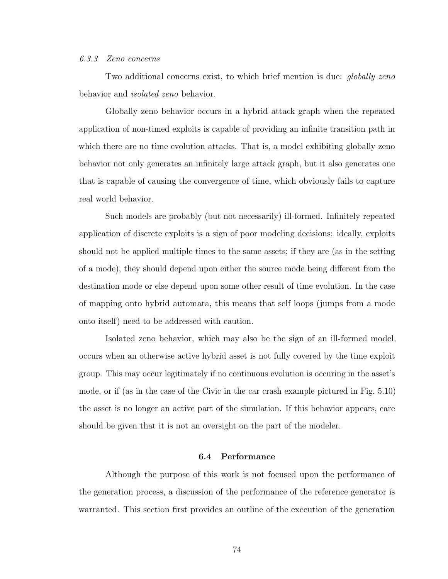### 6.3.3 Zeno concerns

Two additional concerns exist, to which brief mention is due: *qlobally zeno* behavior and *isolated zeno* behavior.

Globally zeno behavior occurs in a hybrid attack graph when the repeated application of non-timed exploits is capable of providing an infinite transition path in which there are no time evolution attacks. That is, a model exhibiting globally zeno behavior not only generates an infinitely large attack graph, but it also generates one that is capable of causing the convergence of time, which obviously fails to capture real world behavior.

Such models are probably (but not necessarily) ill-formed. Infinitely repeated application of discrete exploits is a sign of poor modeling decisions: ideally, exploits should not be applied multiple times to the same assets; if they are (as in the setting of a mode), they should depend upon either the source mode being different from the destination mode or else depend upon some other result of time evolution. In the case of mapping onto hybrid automata, this means that self loops (jumps from a mode onto itself) need to be addressed with caution.

Isolated zeno behavior, which may also be the sign of an ill-formed model, occurs when an otherwise active hybrid asset is not fully covered by the time exploit group. This may occur legitimately if no continuous evolution is occuring in the asset's mode, or if (as in the case of the Civic in the car crash example pictured in Fig. 5.10) the asset is no longer an active part of the simulation. If this behavior appears, care should be given that it is not an oversight on the part of the modeler.

# 6.4 Performance

Although the purpose of this work is not focused upon the performance of the generation process, a discussion of the performance of the reference generator is warranted. This section first provides an outline of the execution of the generation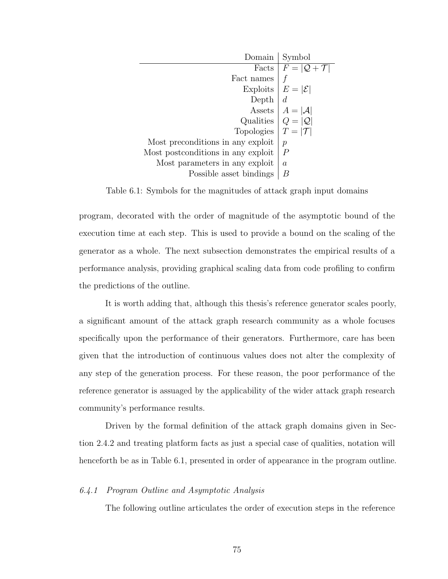| Domain                             | Symbol              |
|------------------------------------|---------------------|
| Facts                              | $F= Q+\mathcal{T} $ |
| Fact names                         |                     |
| Exploits                           | $E= \mathcal{E} $   |
| Depth                              | d                   |
| Assets                             | $A= \mathcal{A} $   |
| Qualities                          | $Q= Q $             |
| <b>Topologies</b>                  | $T= \mathcal{T} $   |
| Most preconditions in any exploit  | $\mathcal{p}$       |
| Most postconditions in any exploit | $\overline{P}$      |
| Most parameters in any exploit     | $\alpha$            |
| Possible asset bindings            | B                   |

Table 6.1: Symbols for the magnitudes of attack graph input domains

program, decorated with the order of magnitude of the asymptotic bound of the execution time at each step. This is used to provide a bound on the scaling of the generator as a whole. The next subsection demonstrates the empirical results of a performance analysis, providing graphical scaling data from code profiling to confirm the predictions of the outline.

It is worth adding that, although this thesis's reference generator scales poorly, a significant amount of the attack graph research community as a whole focuses specifically upon the performance of their generators. Furthermore, care has been given that the introduction of continuous values does not alter the complexity of any step of the generation process. For these reason, the poor performance of the reference generator is assuaged by the applicability of the wider attack graph research community's performance results.

Driven by the formal definition of the attack graph domains given in Section 2.4.2 and treating platform facts as just a special case of qualities, notation will henceforth be as in Table 6.1, presented in order of appearance in the program outline.

### 6.4.1 Program Outline and Asymptotic Analysis

The following outline articulates the order of execution steps in the reference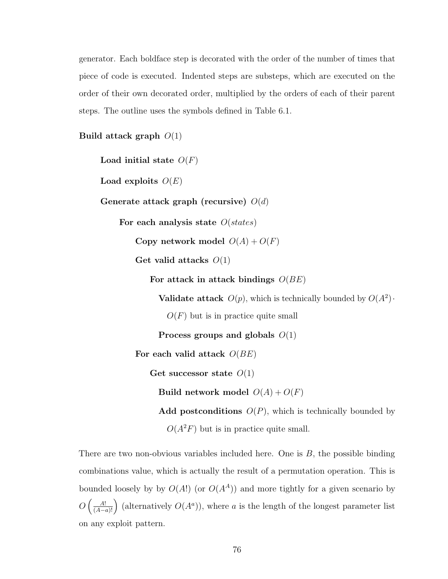generator. Each boldface step is decorated with the order of the number of times that piece of code is executed. Indented steps are substeps, which are executed on the order of their own decorated order, multiplied by the orders of each of their parent steps. The outline uses the symbols defined in Table 6.1.

Build attack graph  $O(1)$ 

Load initial state  $O(F)$ Load exploits  $O(E)$ Generate attack graph (recursive)  $O(d)$ For each analysis state  $O(states)$ Copy network model  $O(A) + O(F)$ Get valid attacks  $O(1)$ For attack in attack bindings  $O(BE)$ Validate attack  $O(p)$ , which is technically bounded by  $O(A^2)$ .  $O(F)$  but is in practice quite small Process groups and globals  $O(1)$ For each valid attack  $O(BE)$ Get successor state  $O(1)$ Build network model  $\mathcal{O}(A)+\mathcal{O}(F)$ Add postconditions  $O(P)$ , which is technically bounded by  $O(A^2F)$  but is in practice quite small.

There are two non-obvious variables included here. One is  $B$ , the possible binding combinations value, which is actually the result of a permutation operation. This is bounded loosely by by  $O(A!)$  (or  $O(A^A)$ ) and more tightly for a given scenario by  $O\left(\frac{A!}{(A-a)!}\right)$  (alternatively  $O(A^a)$ ), where a is the length of the longest parameter list on any exploit pattern.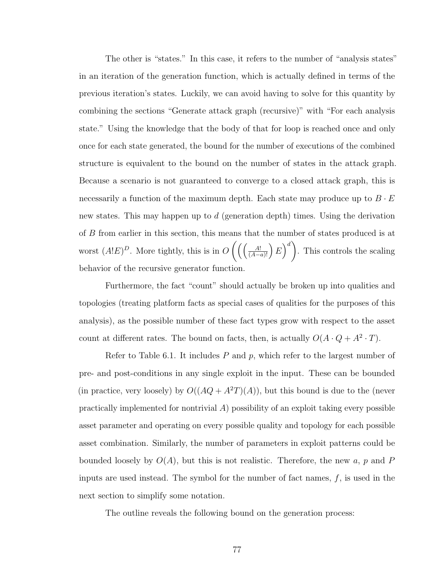The other is "states." In this case, it refers to the number of "analysis states" in an iteration of the generation function, which is actually defined in terms of the previous iteration's states. Luckily, we can avoid having to solve for this quantity by combining the sections "Generate attack graph (recursive)" with "For each analysis state." Using the knowledge that the body of that for loop is reached once and only once for each state generated, the bound for the number of executions of the combined structure is equivalent to the bound on the number of states in the attack graph. Because a scenario is not guaranteed to converge to a closed attack graph, this is necessarily a function of the maximum depth. Each state may produce up to  $B \cdot E$ new states. This may happen up to  $d$  (generation depth) times. Using the derivation of B from earlier in this section, this means that the number of states produced is at worst  $(A!E)^D$ . More tightly, this is in  $O\left(\left(\frac{A!}{(A-a)!}\right)E\right)^d$ . This controls the scaling behavior of the recursive generator function.

Furthermore, the fact "count" should actually be broken up into qualities and topologies (treating platform facts as special cases of qualities for the purposes of this analysis), as the possible number of these fact types grow with respect to the asset count at different rates. The bound on facts, then, is actually  $O(A \cdot Q + A^2 \cdot T)$ .

Refer to Table 6.1. It includes  $P$  and  $p$ , which refer to the largest number of pre- and post-conditions in any single exploit in the input. These can be bounded (in practice, very loosely) by  $O((AQ + A^2T)(A))$ , but this bound is due to the (never practically implemented for nontrivial  $A$ ) possibility of an exploit taking every possible asset parameter and operating on every possible quality and topology for each possible asset combination. Similarly, the number of parameters in exploit patterns could be bounded loosely by  $O(A)$ , but this is not realistic. Therefore, the new a, p and P inputs are used instead. The symbol for the number of fact names,  $f$ , is used in the next section to simplify some notation.

The outline reveals the following bound on the generation process: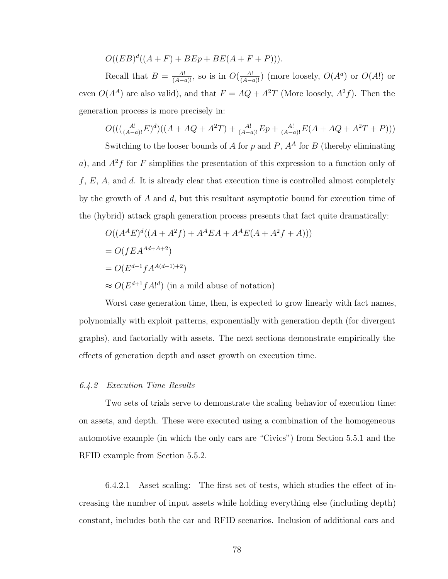$O((EB)^{d}((A+F) + BEp + BE(A+F+P))).$ 

Recall that  $B = \frac{A!}{(A-a)!}$ , so is in  $O(\frac{A!}{(A-a)!})$  (more loosely,  $O(A^a)$  or  $O(A!)$  or even  $O(A^A)$  are also valid), and that  $F = AQ + A^2T$  (More loosely,  $A^2f$ ). Then the generation process is more precisely in:

$$
O(((\frac{A!}{(A-a)!}E)^d)((A + AQ + A^2T) + \frac{A!}{(A-a)!}Ep + \frac{A!}{(A-a)!}E(A + AQ + A^2T + P)))
$$

Switching to the looser bounds of A for p and P,  $A^A$  for B (thereby eliminating a), and  $A^2f$  for F simplifies the presentation of this expression to a function only of  $f, E, A$ , and  $d$ . It is already clear that execution time is controlled almost completely by the growth of  $A$  and  $d$ , but this resultant asymptotic bound for execution time of the (hybrid) attack graph generation process presents that fact quite dramatically:

$$
O((AAE)d((A + A2f) + AAEA + AAE(A + A2f + A)))
$$
  
=  $O(fEAAd+A+2)$   
=  $O(Ed+1fAA(d+1)+2)$   
≈  $O(Ed+1fA!d)$  (in a mild abuse of notation)

Worst case generation time, then, is expected to grow linearly with fact names, polynomially with exploit patterns, exponentially with generation depth (for divergent graphs), and factorially with assets. The next sections demonstrate empirically the effects of generation depth and asset growth on execution time.

### 6.4.2 Execution Time Results

Two sets of trials serve to demonstrate the scaling behavior of execution time: on assets, and depth. These were executed using a combination of the homogeneous automotive example (in which the only cars are "Civics") from Section 5.5.1 and the RFID example from Section 5.5.2.

6.4.2.1 Asset scaling: The first set of tests, which studies the effect of increasing the number of input assets while holding everything else (including depth) constant, includes both the car and RFID scenarios. Inclusion of additional cars and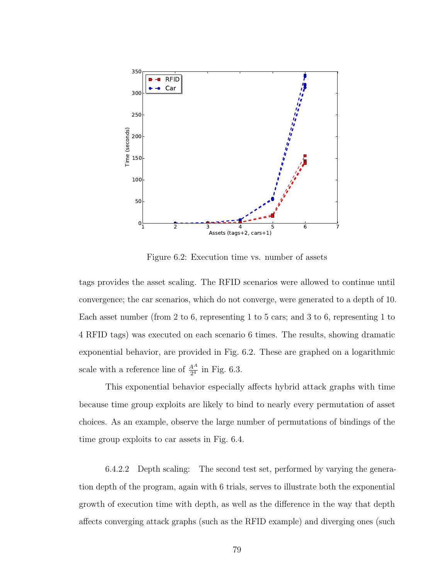

Figure 6.2: Execution time vs. number of assets

tags provides the asset scaling. The RFID scenarios were allowed to continue until convergence; the car scenarios, which do not converge, were generated to a depth of 10. Each asset number (from 2 to 6, representing 1 to 5 cars; and 3 to 6, representing 1 to 4 RFID tags) was executed on each scenario 6 times. The results, showing dramatic exponential behavior, are provided in Fig. 6.2. These are graphed on a logarithmic scale with a reference line of  $\frac{A^A}{2^4}$  in Fig. 6.3.

This exponential behavior especially affects hybrid attack graphs with time because time group exploits are likely to bind to nearly every permutation of asset choices. As an example, observe the large number of permutations of bindings of the time group exploits to car assets in Fig. 6.4.

6.4.2.2 Depth scaling: The second test set, performed by varying the generation depth of the program, again with 6 trials, serves to illustrate both the exponential growth of execution time with depth, as well as the difference in the way that depth affects converging attack graphs (such as the RFID example) and diverging ones (such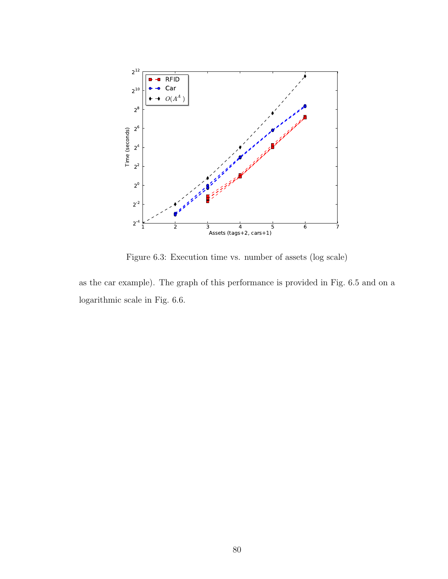

Figure 6.3: Execution time vs. number of assets (log scale)

as the car example). The graph of this performance is provided in Fig. 6.5 and on a logarithmic scale in Fig. 6.6.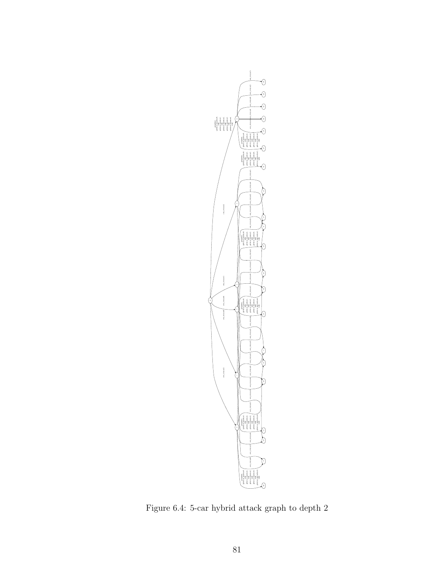

Figure 6.4: 5-car hybrid attack graph to depth  $2\,$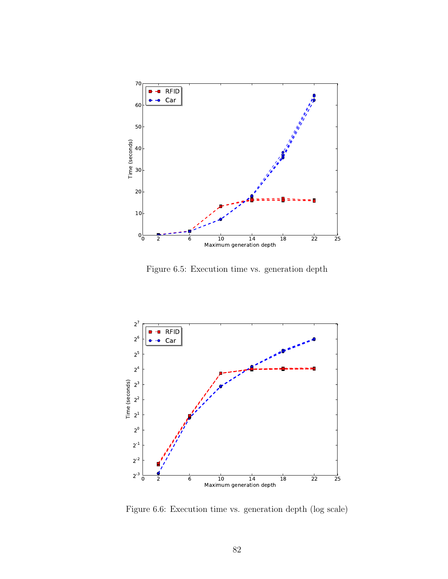

Figure 6.5: Execution time vs. generation depth



Figure 6.6: Execution time vs. generation depth (log scale)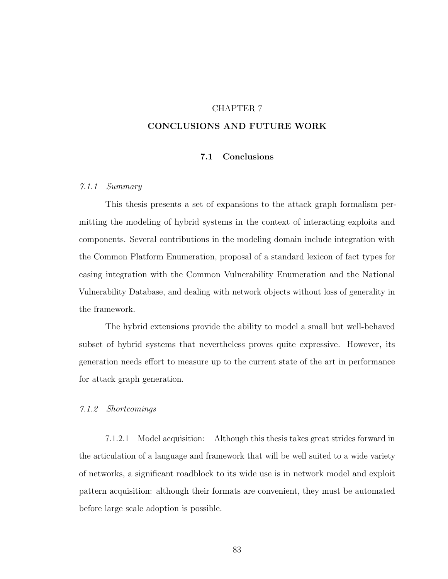# CHAPTER 7

## CONCLUSIONS AND FUTURE WORK

# 7.1 Conclusions

### 7.1.1 Summary

This thesis presents a set of expansions to the attack graph formalism permitting the modeling of hybrid systems in the context of interacting exploits and components. Several contributions in the modeling domain include integration with the Common Platform Enumeration, proposal of a standard lexicon of fact types for easing integration with the Common Vulnerability Enumeration and the National Vulnerability Database, and dealing with network objects without loss of generality in the framework.

The hybrid extensions provide the ability to model a small but well-behaved subset of hybrid systems that nevertheless proves quite expressive. However, its generation needs effort to measure up to the current state of the art in performance for attack graph generation.

#### 7.1.2 Shortcomings

7.1.2.1 Model acquisition: Although this thesis takes great strides forward in the articulation of a language and framework that will be well suited to a wide variety of networks, a significant roadblock to its wide use is in network model and exploit pattern acquisition: although their formats are convenient, they must be automated before large scale adoption is possible.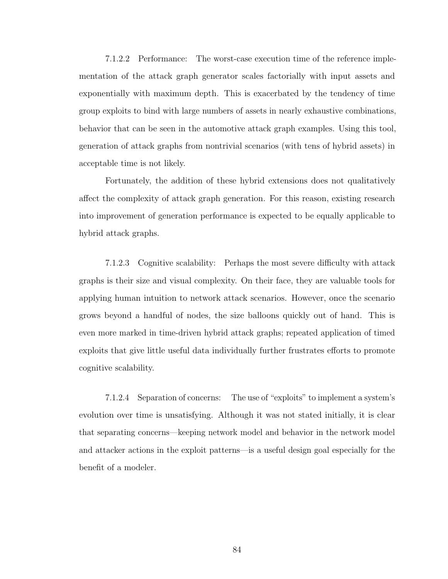7.1.2.2 Performance: The worst-case execution time of the reference implementation of the attack graph generator scales factorially with input assets and exponentially with maximum depth. This is exacerbated by the tendency of time group exploits to bind with large numbers of assets in nearly exhaustive combinations, behavior that can be seen in the automotive attack graph examples. Using this tool, generation of attack graphs from nontrivial scenarios (with tens of hybrid assets) in acceptable time is not likely.

Fortunately, the addition of these hybrid extensions does not qualitatively affect the complexity of attack graph generation. For this reason, existing research into improvement of generation performance is expected to be equally applicable to hybrid attack graphs.

7.1.2.3 Cognitive scalability: Perhaps the most severe difficulty with attack graphs is their size and visual complexity. On their face, they are valuable tools for applying human intuition to network attack scenarios. However, once the scenario grows beyond a handful of nodes, the size balloons quickly out of hand. This is even more marked in time-driven hybrid attack graphs; repeated application of timed exploits that give little useful data individually further frustrates efforts to promote cognitive scalability.

7.1.2.4 Separation of concerns: The use of "exploits" to implement a system's evolution over time is unsatisfying. Although it was not stated initially, it is clear that separating concerns—keeping network model and behavior in the network model and attacker actions in the exploit patterns—is a useful design goal especially for the benefit of a modeler.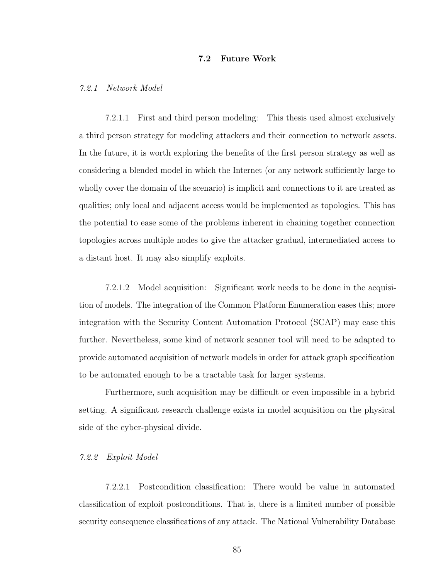### 7.2 Future Work

#### 7.2.1 Network Model

7.2.1.1 First and third person modeling: This thesis used almost exclusively a third person strategy for modeling attackers and their connection to network assets. In the future, it is worth exploring the benefits of the first person strategy as well as considering a blended model in which the Internet (or any network sufficiently large to wholly cover the domain of the scenario) is implicit and connections to it are treated as qualities; only local and adjacent access would be implemented as topologies. This has the potential to ease some of the problems inherent in chaining together connection topologies across multiple nodes to give the attacker gradual, intermediated access to a distant host. It may also simplify exploits.

7.2.1.2 Model acquisition: Significant work needs to be done in the acquisition of models. The integration of the Common Platform Enumeration eases this; more integration with the Security Content Automation Protocol (SCAP) may ease this further. Nevertheless, some kind of network scanner tool will need to be adapted to provide automated acquisition of network models in order for attack graph specification to be automated enough to be a tractable task for larger systems.

Furthermore, such acquisition may be difficult or even impossible in a hybrid setting. A significant research challenge exists in model acquisition on the physical side of the cyber-physical divide.

### 7.2.2 Exploit Model

7.2.2.1 Postcondition classification: There would be value in automated classification of exploit postconditions. That is, there is a limited number of possible security consequence classifications of any attack. The National Vulnerability Database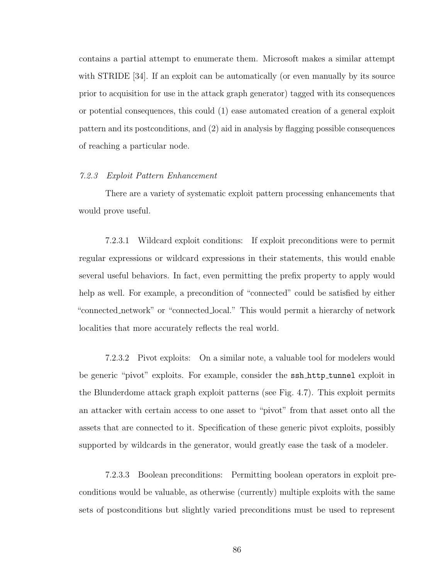contains a partial attempt to enumerate them. Microsoft makes a similar attempt with STRIDE [34]. If an exploit can be automatically (or even manually by its source prior to acquisition for use in the attack graph generator) tagged with its consequences or potential consequences, this could (1) ease automated creation of a general exploit pattern and its postconditions, and (2) aid in analysis by flagging possible consequences of reaching a particular node.

### 7.2.3 Exploit Pattern Enhancement

There are a variety of systematic exploit pattern processing enhancements that would prove useful.

7.2.3.1 Wildcard exploit conditions: If exploit preconditions were to permit regular expressions or wildcard expressions in their statements, this would enable several useful behaviors. In fact, even permitting the prefix property to apply would help as well. For example, a precondition of "connected" could be satisfied by either "connected network" or "connected local." This would permit a hierarchy of network localities that more accurately reflects the real world.

7.2.3.2 Pivot exploits: On a similar note, a valuable tool for modelers would be generic "pivot" exploits. For example, consider the ssh http-tunnel exploit in the Blunderdome attack graph exploit patterns (see Fig. 4.7). This exploit permits an attacker with certain access to one asset to "pivot" from that asset onto all the assets that are connected to it. Specification of these generic pivot exploits, possibly supported by wildcards in the generator, would greatly ease the task of a modeler.

7.2.3.3 Boolean preconditions: Permitting boolean operators in exploit preconditions would be valuable, as otherwise (currently) multiple exploits with the same sets of postconditions but slightly varied preconditions must be used to represent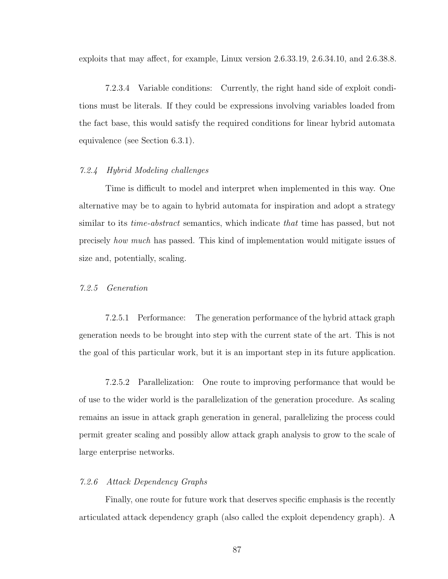exploits that may affect, for example, Linux version 2.6.33.19, 2.6.34.10, and 2.6.38.8.

7.2.3.4 Variable conditions: Currently, the right hand side of exploit conditions must be literals. If they could be expressions involving variables loaded from the fact base, this would satisfy the required conditions for linear hybrid automata equivalence (see Section 6.3.1).

## 7.2.4 Hybrid Modeling challenges

Time is difficult to model and interpret when implemented in this way. One alternative may be to again to hybrid automata for inspiration and adopt a strategy similar to its *time-abstract* semantics, which indicate that time has passed, but not precisely how much has passed. This kind of implementation would mitigate issues of size and, potentially, scaling.

### 7.2.5 Generation

7.2.5.1 Performance: The generation performance of the hybrid attack graph generation needs to be brought into step with the current state of the art. This is not the goal of this particular work, but it is an important step in its future application.

7.2.5.2 Parallelization: One route to improving performance that would be of use to the wider world is the parallelization of the generation procedure. As scaling remains an issue in attack graph generation in general, parallelizing the process could permit greater scaling and possibly allow attack graph analysis to grow to the scale of large enterprise networks.

#### 7.2.6 Attack Dependency Graphs

Finally, one route for future work that deserves specific emphasis is the recently articulated attack dependency graph (also called the exploit dependency graph). A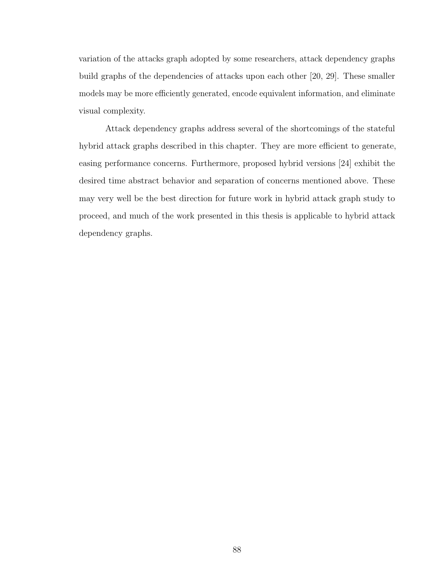variation of the attacks graph adopted by some researchers, attack dependency graphs build graphs of the dependencies of attacks upon each other [20, 29]. These smaller models may be more efficiently generated, encode equivalent information, and eliminate visual complexity.

Attack dependency graphs address several of the shortcomings of the stateful hybrid attack graphs described in this chapter. They are more efficient to generate, easing performance concerns. Furthermore, proposed hybrid versions [24] exhibit the desired time abstract behavior and separation of concerns mentioned above. These may very well be the best direction for future work in hybrid attack graph study to proceed, and much of the work presented in this thesis is applicable to hybrid attack dependency graphs.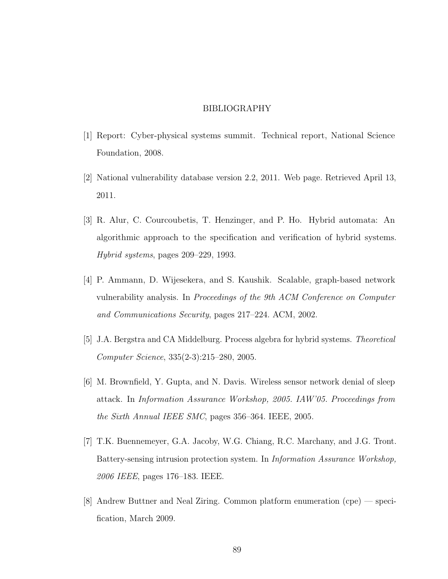## BIBLIOGRAPHY

- [1] Report: Cyber-physical systems summit. Technical report, National Science Foundation, 2008.
- [2] National vulnerability database version 2.2, 2011. Web page. Retrieved April 13, 2011.
- [3] R. Alur, C. Courcoubetis, T. Henzinger, and P. Ho. Hybrid automata: An algorithmic approach to the specification and verification of hybrid systems. Hybrid systems, pages 209–229, 1993.
- [4] P. Ammann, D. Wijesekera, and S. Kaushik. Scalable, graph-based network vulnerability analysis. In Proceedings of the 9th ACM Conference on Computer and Communications Security, pages 217–224. ACM, 2002.
- [5] J.A. Bergstra and CA Middelburg. Process algebra for hybrid systems. Theoretical Computer Science, 335(2-3):215–280, 2005.
- [6] M. Brownfield, Y. Gupta, and N. Davis. Wireless sensor network denial of sleep attack. In Information Assurance Workshop, 2005. IAW'05. Proceedings from the Sixth Annual IEEE SMC, pages 356–364. IEEE, 2005.
- [7] T.K. Buennemeyer, G.A. Jacoby, W.G. Chiang, R.C. Marchany, and J.G. Tront. Battery-sensing intrusion protection system. In Information Assurance Workshop, 2006 IEEE, pages 176–183. IEEE.
- [8] Andrew Buttner and Neal Ziring. Common platform enumeration (cpe) specification, March 2009.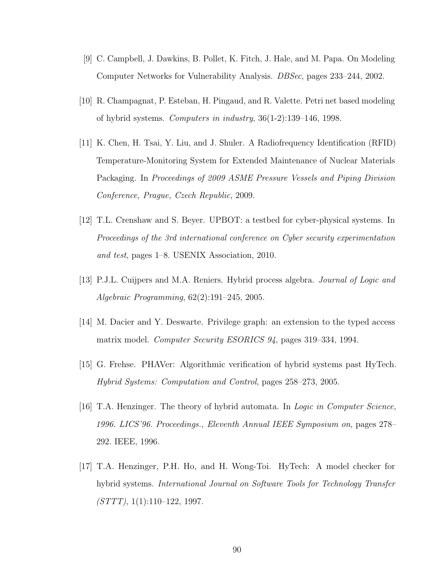- [9] C. Campbell, J. Dawkins, B. Pollet, K. Fitch, J. Hale, and M. Papa. On Modeling Computer Networks for Vulnerability Analysis. DBSec, pages 233–244, 2002.
- [10] R. Champagnat, P. Esteban, H. Pingaud, and R. Valette. Petri net based modeling of hybrid systems. Computers in industry, 36(1-2):139–146, 1998.
- [11] K. Chen, H. Tsai, Y. Liu, and J. Shuler. A Radiofrequency Identification (RFID) Temperature-Monitoring System for Extended Maintenance of Nuclear Materials Packaging. In Proceedings of 2009 ASME Pressure Vessels and Piping Division Conference, Prague, Czech Republic, 2009.
- [12] T.L. Crenshaw and S. Beyer. UPBOT: a testbed for cyber-physical systems. In Proceedings of the 3rd international conference on Cyber security experimentation and test, pages 1–8. USENIX Association, 2010.
- [13] P.J.L. Cuijpers and M.A. Reniers. Hybrid process algebra. Journal of Logic and Algebraic Programming, 62(2):191–245, 2005.
- [14] M. Dacier and Y. Deswarte. Privilege graph: an extension to the typed access matrix model. Computer Security ESORICS 94, pages 319–334, 1994.
- [15] G. Frehse. PHAVer: Algorithmic verification of hybrid systems past HyTech. Hybrid Systems: Computation and Control, pages 258–273, 2005.
- [16] T.A. Henzinger. The theory of hybrid automata. In Logic in Computer Science, 1996. LICS'96. Proceedings., Eleventh Annual IEEE Symposium on, pages 278– 292. IEEE, 1996.
- [17] T.A. Henzinger, P.H. Ho, and H. Wong-Toi. HyTech: A model checker for hybrid systems. International Journal on Software Tools for Technology Transfer  $(STTT$ ), 1(1):110–122, 1997.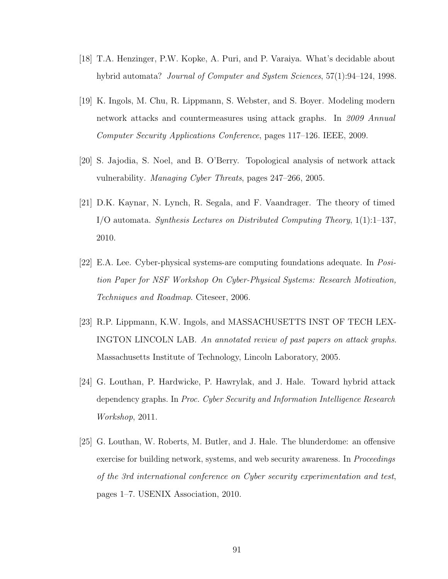- [18] T.A. Henzinger, P.W. Kopke, A. Puri, and P. Varaiya. What's decidable about hybrid automata? Journal of Computer and System Sciences, 57(1):94–124, 1998.
- [19] K. Ingols, M. Chu, R. Lippmann, S. Webster, and S. Boyer. Modeling modern network attacks and countermeasures using attack graphs. In 2009 Annual Computer Security Applications Conference, pages 117–126. IEEE, 2009.
- [20] S. Jajodia, S. Noel, and B. O'Berry. Topological analysis of network attack vulnerability. Managing Cyber Threats, pages 247–266, 2005.
- [21] D.K. Kaynar, N. Lynch, R. Segala, and F. Vaandrager. The theory of timed I/O automata. Synthesis Lectures on Distributed Computing Theory,  $1(1):1-137$ , 2010.
- [22] E.A. Lee. Cyber-physical systems-are computing foundations adequate. In Position Paper for NSF Workshop On Cyber-Physical Systems: Research Motivation, Techniques and Roadmap. Citeseer, 2006.
- [23] R.P. Lippmann, K.W. Ingols, and MASSACHUSETTS INST OF TECH LEX-INGTON LINCOLN LAB. An annotated review of past papers on attack graphs. Massachusetts Institute of Technology, Lincoln Laboratory, 2005.
- [24] G. Louthan, P. Hardwicke, P. Hawrylak, and J. Hale. Toward hybrid attack dependency graphs. In Proc. Cyber Security and Information Intelligence Research Workshop, 2011.
- [25] G. Louthan, W. Roberts, M. Butler, and J. Hale. The blunderdome: an offensive exercise for building network, systems, and web security awareness. In *Proceedings* of the 3rd international conference on Cyber security experimentation and test, pages 1–7. USENIX Association, 2010.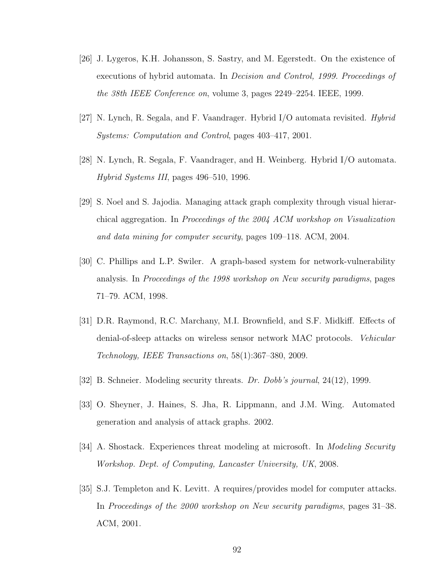- [26] J. Lygeros, K.H. Johansson, S. Sastry, and M. Egerstedt. On the existence of executions of hybrid automata. In Decision and Control, 1999. Proceedings of the 38th IEEE Conference on, volume 3, pages 2249–2254. IEEE, 1999.
- [27] N. Lynch, R. Segala, and F. Vaandrager. Hybrid I/O automata revisited. Hybrid Systems: Computation and Control, pages 403–417, 2001.
- [28] N. Lynch, R. Segala, F. Vaandrager, and H. Weinberg. Hybrid I/O automata. Hybrid Systems III, pages 496–510, 1996.
- [29] S. Noel and S. Jajodia. Managing attack graph complexity through visual hierarchical aggregation. In Proceedings of the 2004 ACM workshop on Visualization and data mining for computer security, pages 109–118. ACM, 2004.
- [30] C. Phillips and L.P. Swiler. A graph-based system for network-vulnerability analysis. In Proceedings of the 1998 workshop on New security paradigms, pages 71–79. ACM, 1998.
- [31] D.R. Raymond, R.C. Marchany, M.I. Brownfield, and S.F. Midkiff. Effects of denial-of-sleep attacks on wireless sensor network MAC protocols. Vehicular Technology, IEEE Transactions on, 58(1):367–380, 2009.
- [32] B. Schneier. Modeling security threats. Dr. Dobb's journal, 24(12), 1999.
- [33] O. Sheyner, J. Haines, S. Jha, R. Lippmann, and J.M. Wing. Automated generation and analysis of attack graphs. 2002.
- [34] A. Shostack. Experiences threat modeling at microsoft. In Modeling Security Workshop. Dept. of Computing, Lancaster University, UK, 2008.
- [35] S.J. Templeton and K. Levitt. A requires/provides model for computer attacks. In Proceedings of the 2000 workshop on New security paradigms, pages 31–38. ACM, 2001.